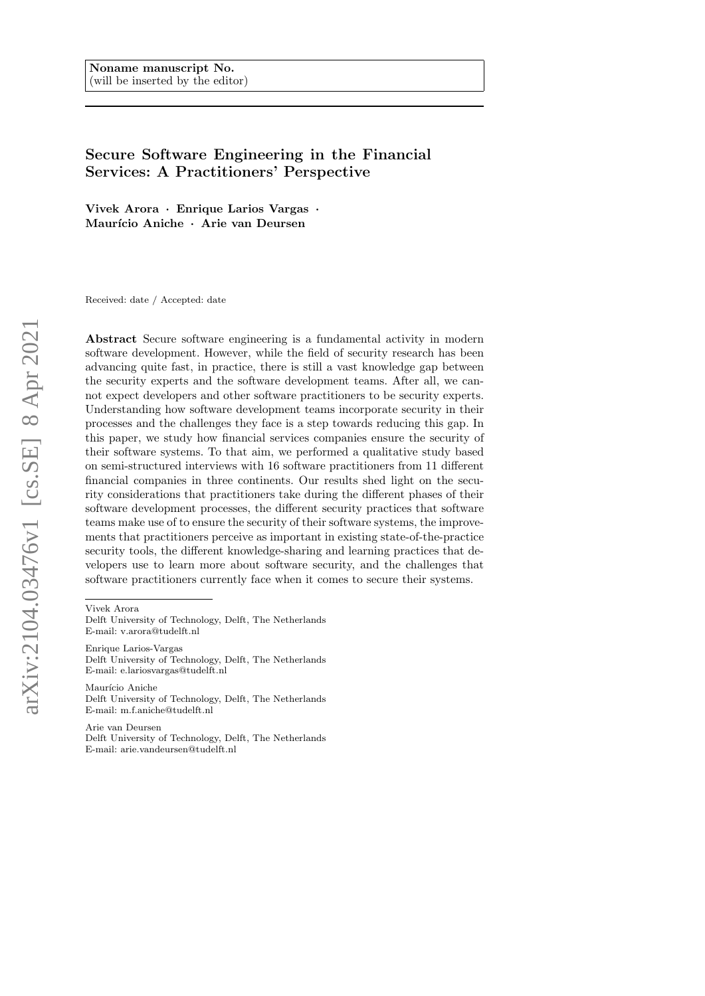# <span id="page-0-0"></span>Secure Software Engineering in the Financial Services: A Practitioners' Perspective

Vivek Arora · Enrique Larios Vargas · Maurício Aniche · Arie van Deursen

Received: date / Accepted: date

Abstract Secure software engineering is a fundamental activity in modern software development. However, while the field of security research has been advancing quite fast, in practice, there is still a vast knowledge gap between the security experts and the software development teams. After all, we cannot expect developers and other software practitioners to be security experts. Understanding how software development teams incorporate security in their processes and the challenges they face is a step towards reducing this gap. In this paper, we study how financial services companies ensure the security of their software systems. To that aim, we performed a qualitative study based on semi-structured interviews with 16 software practitioners from 11 different financial companies in three continents. Our results shed light on the security considerations that practitioners take during the different phases of their software development processes, the different security practices that software teams make use of to ensure the security of their software systems, the improvements that practitioners perceive as important in existing state-of-the-practice security tools, the different knowledge-sharing and learning practices that developers use to learn more about software security, and the challenges that software practitioners currently face when it comes to secure their systems.

Vivek Arora

Delft University of Technology, Delft, The Netherlands E-mail: v.arora@tudelft.nl

Enrique Larios-Vargas Delft University of Technology, Delft, The Netherlands E-mail: e.lariosvargas@tudelft.nl

Maurício Aniche Delft University of Technology, Delft, The Netherlands E-mail: m.f.aniche@tudelft.nl

Arie van Deursen Delft University of Technology, Delft, The Netherlands E-mail: arie.vandeursen@tudelft.nl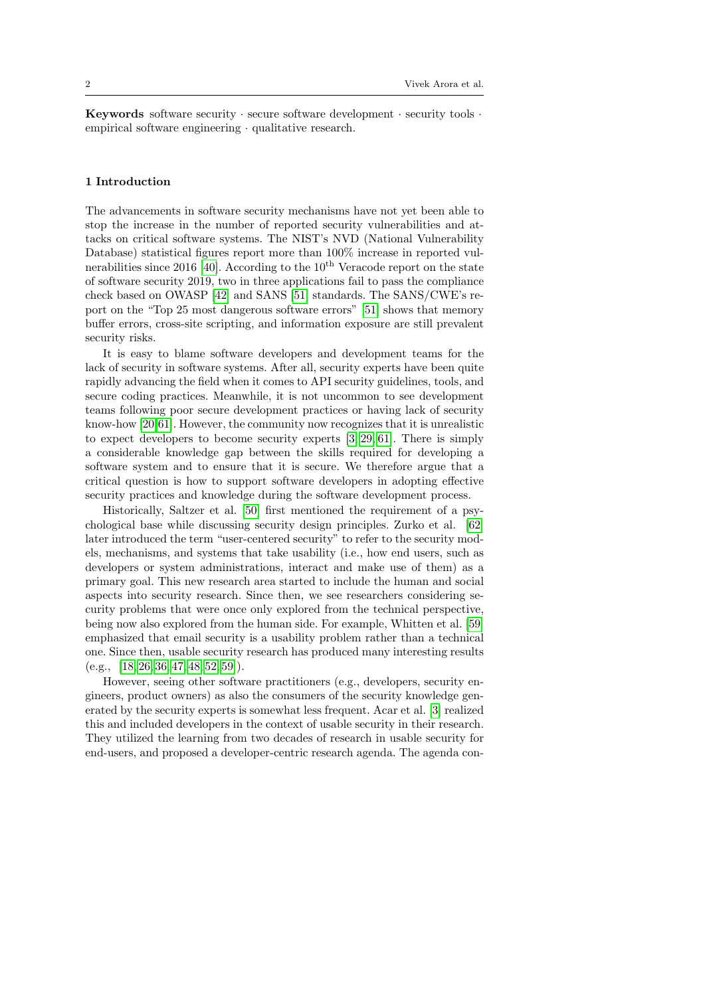Keywords software security  $\cdot$  secure software development  $\cdot$  security tools  $\cdot$ empirical software engineering · qualitative research.

#### 1 Introduction

The advancements in software security mechanisms have not yet been able to stop the increase in the number of reported security vulnerabilities and attacks on critical software systems. The NIST's NVD (National Vulnerability Database) statistical figures report more than  $100\%$  increase in reported vul-nerabilities since 2016 [\[40\]](#page-39-0). According to the  $10<sup>th</sup>$  Veracode report on the state of software security 2019, two in three applications fail to pass the compliance check based on OWASP [\[42\]](#page-39-1) and SANS [\[51\]](#page-40-0) standards. The SANS/CWE's report on the "Top 25 most dangerous software errors" [\[51\]](#page-40-0) shows that memory buffer errors, cross-site scripting, and information exposure are still prevalent security risks.

It is easy to blame software developers and development teams for the lack of security in software systems. After all, security experts have been quite rapidly advancing the field when it comes to API security guidelines, tools, and secure coding practices. Meanwhile, it is not uncommon to see development teams following poor secure development practices or having lack of security know-how [\[20,](#page-38-0)[61\]](#page-40-1). However, the community now recognizes that it is unrealistic to expect developers to become security experts [\[3,](#page-38-1) [29,](#page-39-2) [61\]](#page-40-1). There is simply a considerable knowledge gap between the skills required for developing a software system and to ensure that it is secure. We therefore argue that a critical question is how to support software developers in adopting effective security practices and knowledge during the software development process.

Historically, Saltzer et al. [\[50\]](#page-40-2) first mentioned the requirement of a psychological base while discussing security design principles. Zurko et al. [\[62\]](#page-41-0) later introduced the term "user-centered security" to refer to the security models, mechanisms, and systems that take usability (i.e., how end users, such as developers or system administrations, interact and make use of them) as a primary goal. This new research area started to include the human and social aspects into security research. Since then, we see researchers considering security problems that were once only explored from the technical perspective, being now also explored from the human side. For example, Whitten et al. [\[59\]](#page-40-3) emphasized that email security is a usability problem rather than a technical one. Since then, usable security research has produced many interesting results  $(e.g., [18, 26, 36, 47, 48, 52, 59]).$  $(e.g., [18, 26, 36, 47, 48, 52, 59]).$  $(e.g., [18, 26, 36, 47, 48, 52, 59]).$  $(e.g., [18, 26, 36, 47, 48, 52, 59]).$  $(e.g., [18, 26, 36, 47, 48, 52, 59]).$  $(e.g., [18, 26, 36, 47, 48, 52, 59]).$  $(e.g., [18, 26, 36, 47, 48, 52, 59]).$  $(e.g., [18, 26, 36, 47, 48, 52, 59]).$  $(e.g., [18, 26, 36, 47, 48, 52, 59]).$ 

However, seeing other software practitioners (e.g., developers, security engineers, product owners) as also the consumers of the security knowledge generated by the security experts is somewhat less frequent. Acar et al. [\[3\]](#page-38-1) realized this and included developers in the context of usable security in their research. They utilized the learning from two decades of research in usable security for end-users, and proposed a developer-centric research agenda. The agenda con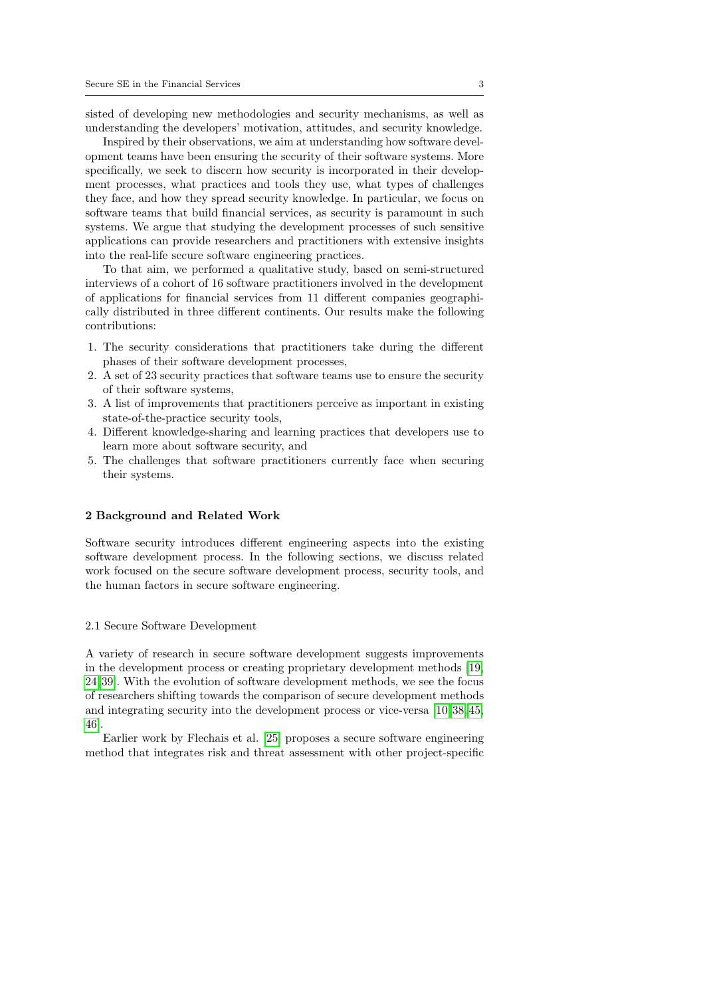sisted of developing new methodologies and security mechanisms, as well as understanding the developers' motivation, attitudes, and security knowledge.

Inspired by their observations, we aim at understanding how software development teams have been ensuring the security of their software systems. More specifically, we seek to discern how security is incorporated in their development processes, what practices and tools they use, what types of challenges they face, and how they spread security knowledge. In particular, we focus on software teams that build financial services, as security is paramount in such systems. We argue that studying the development processes of such sensitive applications can provide researchers and practitioners with extensive insights into the real-life secure software engineering practices.

To that aim, we performed a qualitative study, based on semi-structured interviews of a cohort of 16 software practitioners involved in the development of applications for financial services from 11 different companies geographically distributed in three different continents. Our results make the following contributions:

- 1. The security considerations that practitioners take during the different phases of their software development processes,
- 2. A set of 23 security practices that software teams use to ensure the security of their software systems,
- 3. A list of improvements that practitioners perceive as important in existing state-of-the-practice security tools,
- 4. Different knowledge-sharing and learning practices that developers use to learn more about software security, and
- 5. The challenges that software practitioners currently face when securing their systems.

#### 2 Background and Related Work

Software security introduces different engineering aspects into the existing software development process. In the following sections, we discuss related work focused on the secure software development process, security tools, and the human factors in secure software engineering.

## 2.1 Secure Software Development

A variety of research in secure software development suggests improvements in the development process or creating proprietary development methods [\[19,](#page-38-3) [24,](#page-39-5) [39\]](#page-39-6). With the evolution of software development methods, we see the focus of researchers shifting towards the comparison of secure development methods and integrating security into the development process or vice-versa [\[10,](#page-38-4) [38,](#page-39-7) [45,](#page-40-7) [46\]](#page-40-8).

Earlier work by Flechais et al. [\[25\]](#page-39-8) proposes a secure software engineering method that integrates risk and threat assessment with other project-specific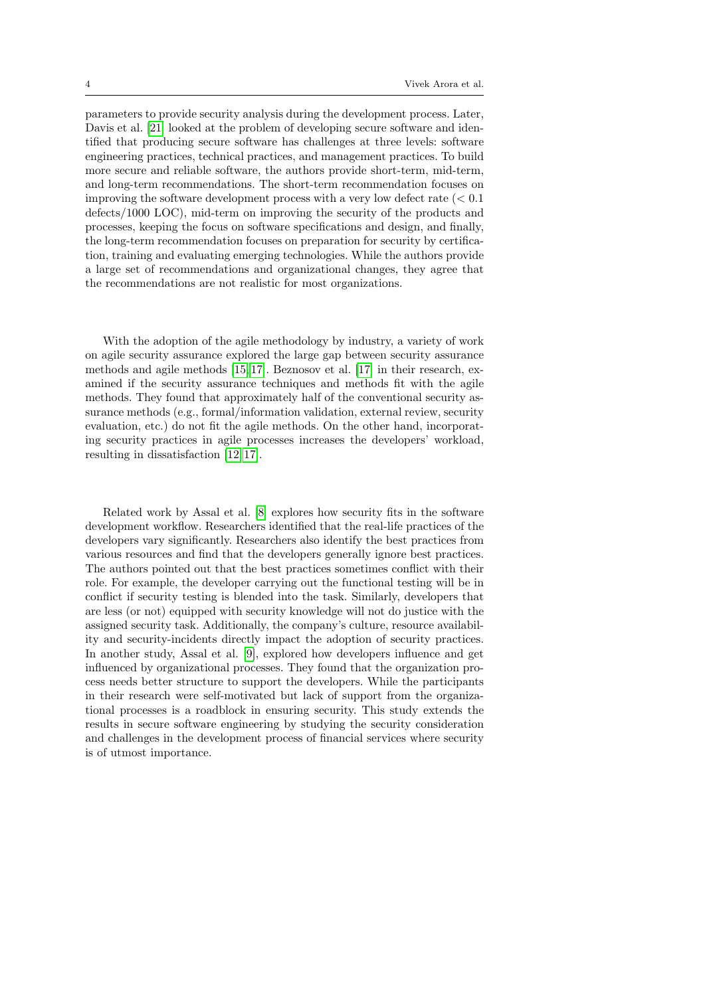parameters to provide security analysis during the development process. Later, Davis et al. [\[21\]](#page-38-5) looked at the problem of developing secure software and identified that producing secure software has challenges at three levels: software engineering practices, technical practices, and management practices. To build more secure and reliable software, the authors provide short-term, mid-term, and long-term recommendations. The short-term recommendation focuses on improving the software development process with a very low defect rate  $(< 0.1$ defects/1000 LOC), mid-term on improving the security of the products and processes, keeping the focus on software specifications and design, and finally, the long-term recommendation focuses on preparation for security by certification, training and evaluating emerging technologies. While the authors provide a large set of recommendations and organizational changes, they agree that the recommendations are not realistic for most organizations.

With the adoption of the agile methodology by industry, a variety of work on agile security assurance explored the large gap between security assurance methods and agile methods [\[15,](#page-38-6) [17\]](#page-38-7). Beznosov et al. [\[17\]](#page-38-7) in their research, examined if the security assurance techniques and methods fit with the agile methods. They found that approximately half of the conventional security assurance methods (e.g., formal/information validation, external review, security evaluation, etc.) do not fit the agile methods. On the other hand, incorporating security practices in agile processes increases the developers' workload, resulting in dissatisfaction [\[12,](#page-38-8) [17\]](#page-38-7).

Related work by Assal et al. [\[8\]](#page-38-9) explores how security fits in the software development workflow. Researchers identified that the real-life practices of the developers vary significantly. Researchers also identify the best practices from various resources and find that the developers generally ignore best practices. The authors pointed out that the best practices sometimes conflict with their role. For example, the developer carrying out the functional testing will be in conflict if security testing is blended into the task. Similarly, developers that are less (or not) equipped with security knowledge will not do justice with the assigned security task. Additionally, the company's culture, resource availability and security-incidents directly impact the adoption of security practices. In another study, Assal et al. [\[9\]](#page-38-10), explored how developers influence and get influenced by organizational processes. They found that the organization process needs better structure to support the developers. While the participants in their research were self-motivated but lack of support from the organizational processes is a roadblock in ensuring security. This study extends the results in secure software engineering by studying the security consideration and challenges in the development process of financial services where security is of utmost importance.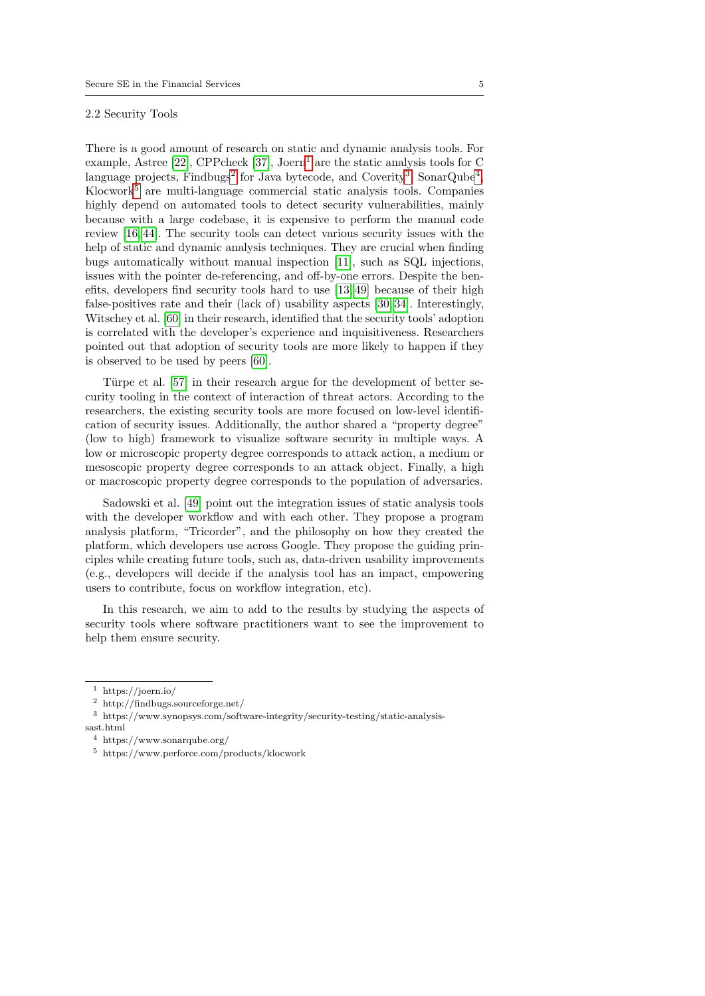## 2.2 Security Tools

There is a good amount of research on static and dynamic analysis tools. For example, Astree [\[22\]](#page-39-9), CPPcheck [\[37\]](#page-39-10), Joern<sup>[1](#page-4-0)</sup> are the static analysis tools for C language projects, Findbugs<sup>[2](#page-4-1)</sup> for Java bytecode, and Coverity<sup>[3](#page-4-2)</sup>, SonarQube<sup>[4](#page-4-3)</sup>,  $K$ locwork<sup>[5](#page-4-4)</sup> are multi-language commercial static analysis tools. Companies highly depend on automated tools to detect security vulnerabilities, mainly because with a large codebase, it is expensive to perform the manual code review [\[16,](#page-38-11) [44\]](#page-40-9). The security tools can detect various security issues with the help of static and dynamic analysis techniques. They are crucial when finding bugs automatically without manual inspection [\[11\]](#page-38-12), such as SQL injections, issues with the pointer de-referencing, and off-by-one errors. Despite the benefits, developers find security tools hard to use [\[13,](#page-38-13) [49\]](#page-40-10) because of their high false-positives rate and their (lack of) usability aspects [\[30,](#page-39-11) [34\]](#page-39-12). Interestingly, Witschey et al. [\[60\]](#page-40-11) in their research, identified that the security tools' adoption is correlated with the developer's experience and inquisitiveness. Researchers pointed out that adoption of security tools are more likely to happen if they is observed to be used by peers [\[60\]](#page-40-11).

Türpe et al. [\[57\]](#page-40-12) in their research argue for the development of better security tooling in the context of interaction of threat actors. According to the researchers, the existing security tools are more focused on low-level identification of security issues. Additionally, the author shared a "property degree" (low to high) framework to visualize software security in multiple ways. A low or microscopic property degree corresponds to attack action, a medium or mesoscopic property degree corresponds to an attack object. Finally, a high or macroscopic property degree corresponds to the population of adversaries.

Sadowski et al. [\[49\]](#page-40-10) point out the integration issues of static analysis tools with the developer workflow and with each other. They propose a program analysis platform, "Tricorder", and the philosophy on how they created the platform, which developers use across Google. They propose the guiding principles while creating future tools, such as, data-driven usability improvements (e.g., developers will decide if the analysis tool has an impact, empowering users to contribute, focus on workflow integration, etc).

In this research, we aim to add to the results by studying the aspects of security tools where software practitioners want to see the improvement to help them ensure security.

<span id="page-4-0"></span><sup>1</sup> https://joern.io/

<span id="page-4-1"></span> $^2\,$ http://findbugs.sourceforge.net/

<span id="page-4-2"></span> $^3\,$ https://www.synopsys.com/software-integrity/security-testing/static-analysis-

sast.html

<span id="page-4-3"></span><sup>4</sup> https://www.sonarqube.org/

<span id="page-4-4"></span><sup>5</sup> https://www.perforce.com/products/klocwork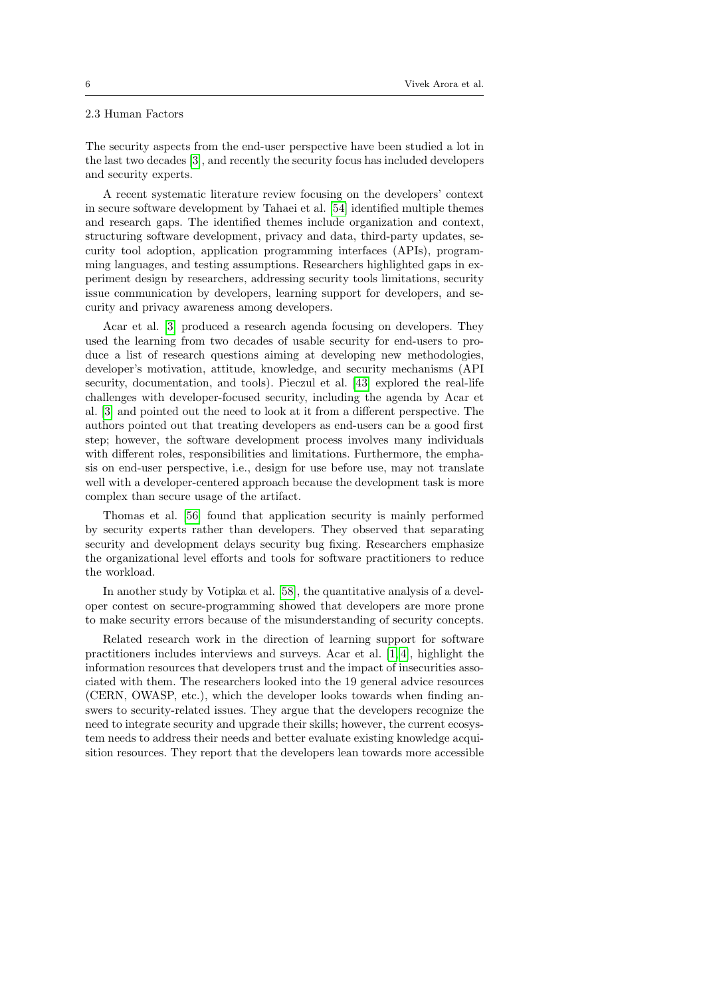## 2.3 Human Factors

The security aspects from the end-user perspective have been studied a lot in the last two decades [\[3\]](#page-38-1), and recently the security focus has included developers and security experts.

A recent systematic literature review focusing on the developers' context in secure software development by Tahaei et al. [\[54\]](#page-40-13) identified multiple themes and research gaps. The identified themes include organization and context, structuring software development, privacy and data, third-party updates, security tool adoption, application programming interfaces (APIs), programming languages, and testing assumptions. Researchers highlighted gaps in experiment design by researchers, addressing security tools limitations, security issue communication by developers, learning support for developers, and security and privacy awareness among developers.

Acar et al. [\[3\]](#page-38-1) produced a research agenda focusing on developers. They used the learning from two decades of usable security for end-users to produce a list of research questions aiming at developing new methodologies, developer's motivation, attitude, knowledge, and security mechanisms (API security, documentation, and tools). Pieczul et al. [\[43\]](#page-39-13) explored the real-life challenges with developer-focused security, including the agenda by Acar et al. [\[3\]](#page-38-1) and pointed out the need to look at it from a different perspective. The authors pointed out that treating developers as end-users can be a good first step; however, the software development process involves many individuals with different roles, responsibilities and limitations. Furthermore, the emphasis on end-user perspective, i.e., design for use before use, may not translate well with a developer-centered approach because the development task is more complex than secure usage of the artifact.

Thomas et al. [\[56\]](#page-40-14) found that application security is mainly performed by security experts rather than developers. They observed that separating security and development delays security bug fixing. Researchers emphasize the organizational level efforts and tools for software practitioners to reduce the workload.

In another study by Votipka et al. [\[58\]](#page-40-15), the quantitative analysis of a developer contest on secure-programming showed that developers are more prone to make security errors because of the misunderstanding of security concepts.

Related research work in the direction of learning support for software practitioners includes interviews and surveys. Acar et al. [\[1,](#page-38-14) [4\]](#page-38-15), highlight the information resources that developers trust and the impact of insecurities associated with them. The researchers looked into the 19 general advice resources (CERN, OWASP, etc.), which the developer looks towards when finding answers to security-related issues. They argue that the developers recognize the need to integrate security and upgrade their skills; however, the current ecosystem needs to address their needs and better evaluate existing knowledge acquisition resources. They report that the developers lean towards more accessible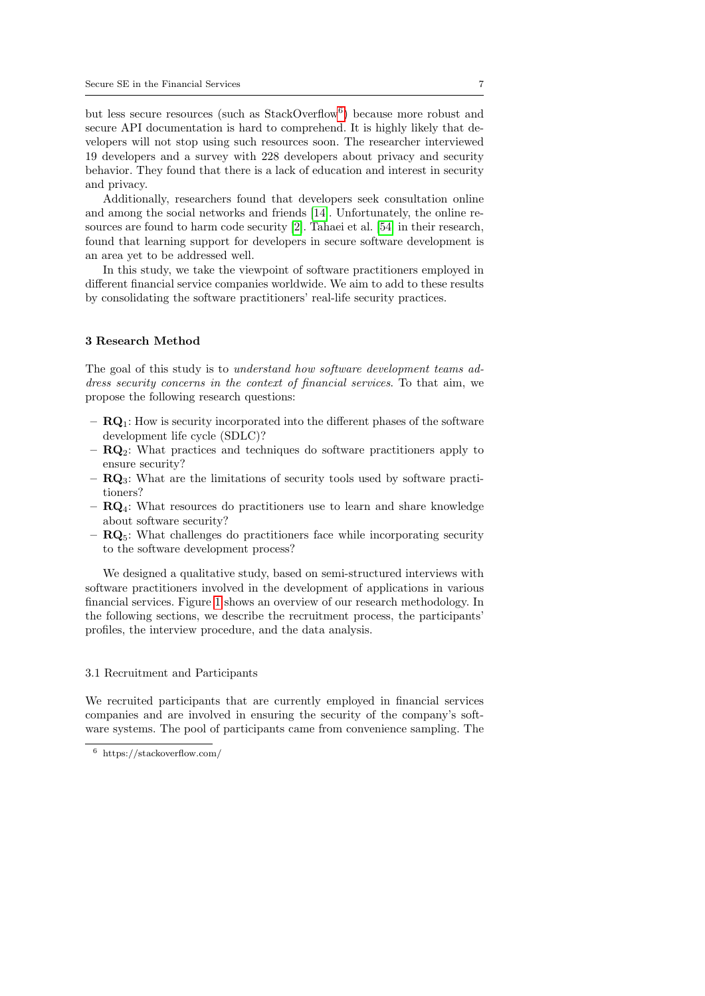but less secure resources (such as StackOverflow<sup>[6](#page-6-0)</sup>) because more robust and secure API documentation is hard to comprehend. It is highly likely that developers will not stop using such resources soon. The researcher interviewed 19 developers and a survey with 228 developers about privacy and security behavior. They found that there is a lack of education and interest in security and privacy.

Additionally, researchers found that developers seek consultation online and among the social networks and friends [\[14\]](#page-38-16). Unfortunately, the online resources are found to harm code security [\[2\]](#page-38-17). Tahaei et al. [\[54\]](#page-40-13) in their research, found that learning support for developers in secure software development is an area yet to be addressed well.

In this study, we take the viewpoint of software practitioners employed in different financial service companies worldwide. We aim to add to these results by consolidating the software practitioners' real-life security practices.

#### 3 Research Method

The goal of this study is to *understand how software development teams ad*dress security concerns in the context of financial services. To that aim, we propose the following research questions:

- $-$  **RQ**<sub>1</sub>: How is security incorporated into the different phases of the software development life cycle (SDLC)?
- $\mathbf{R}\mathbf{Q}_2$ : What practices and techniques do software practitioners apply to ensure security?
- RQ3: What are the limitations of security tools used by software practitioners?
- $\mathbf{R}\mathbf{Q}_4$ : What resources do practitioners use to learn and share knowledge about software security?
- $\mathbf{R}\mathbf{Q}_5$ : What challenges do practitioners face while incorporating security to the software development process?

We designed a qualitative study, based on semi-structured interviews with software practitioners involved in the development of applications in various financial services. Figure [1](#page-7-0) shows an overview of our research methodology. In the following sections, we describe the recruitment process, the participants' profiles, the interview procedure, and the data analysis.

#### 3.1 Recruitment and Participants

We recruited participants that are currently employed in financial services companies and are involved in ensuring the security of the company's software systems. The pool of participants came from convenience sampling. The

<span id="page-6-0"></span><sup>6</sup> https://stackoverflow.com/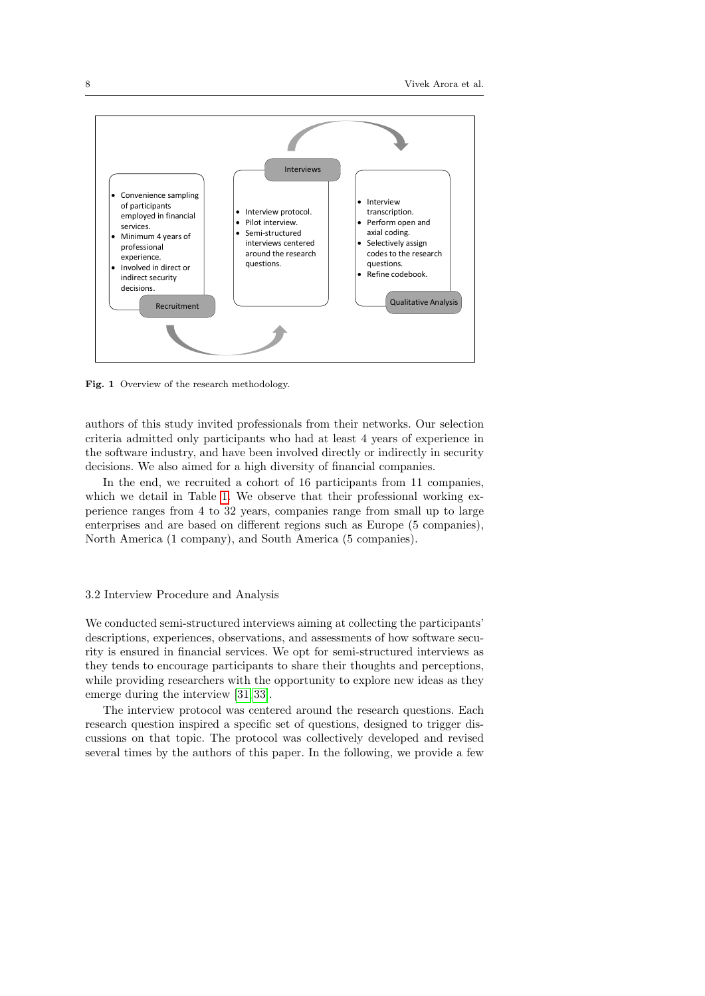

<span id="page-7-0"></span>Fig. 1 Overview of the research methodology.

authors of this study invited professionals from their networks. Our selection criteria admitted only participants who had at least 4 years of experience in the software industry, and have been involved directly or indirectly in security decisions. We also aimed for a high diversity of financial companies.

In the end, we recruited a cohort of 16 participants from 11 companies, which we detail in Table [1.](#page-8-0) We observe that their professional working experience ranges from 4 to 32 years, companies range from small up to large enterprises and are based on different regions such as Europe (5 companies), North America (1 company), and South America (5 companies).

#### 3.2 Interview Procedure and Analysis

We conducted semi-structured interviews aiming at collecting the participants' descriptions, experiences, observations, and assessments of how software security is ensured in financial services. We opt for semi-structured interviews as they tends to encourage participants to share their thoughts and perceptions, while providing researchers with the opportunity to explore new ideas as they emerge during the interview [\[31,](#page-39-14) [33\]](#page-39-15).

The interview protocol was centered around the research questions. Each research question inspired a specific set of questions, designed to trigger discussions on that topic. The protocol was collectively developed and revised several times by the authors of this paper. In the following, we provide a few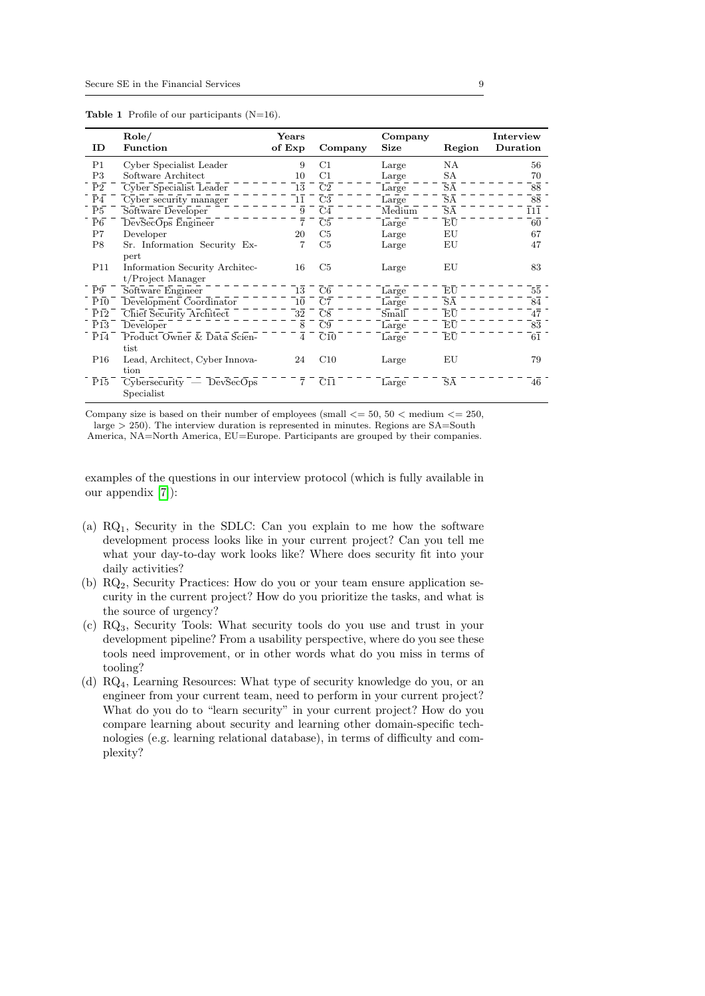<span id="page-8-0"></span>

| ID               | Role/<br><b>Function</b>                                       | Years<br>of Exp | Company         | Company<br>Size | Region                              | Interview<br>Duration |
|------------------|----------------------------------------------------------------|-----------------|-----------------|-----------------|-------------------------------------|-----------------------|
| P <sub>1</sub>   | Cyber Specialist Leader                                        | 9               | C1              | Large           | NA                                  | 56                    |
| P3               | Software Architect                                             | 10              | C1              | Large           | SA                                  | 70                    |
| $\bar{P}\bar{2}$ | Cyber Specialist Leader                                        | 13              | $\overline{C}2$ | Large           | $\overline{\text{SA}}$              | 88                    |
| P <sub>4</sub>   | Cyber security manager                                         | 11              | C <sub>3</sub>  | Large           | SA                                  | 88                    |
| $\overline{P}5$  | Software Developer                                             | 9               | $\overline{C4}$ | Medium          | $\overline{\text{SA}}$              | 111                   |
| $\overline{P6}$  | DevSecOps Engineer                                             | 7               | $\overline{C}5$ | Large           | EU                                  | 60                    |
| P7               | Developer                                                      | 20              | C5              | Large           | ΕU                                  | 67                    |
| P8               | Sr. Information Security Ex-                                   |                 | C5              | Large           | ΕU                                  | 47                    |
| P <sub>11</sub>  | pert<br>Information Security Architec-<br>$t$ /Project Manager | 16              | C5              | Large           | EU                                  | 83                    |
| $\overline{P}9$  | Software Engineer                                              | 13              | C6              | Large           | $E\overline{U}$                     | 55                    |
| $\overline{P10}$ | Development Coordinator                                        | 10              | C7              | Large           | $\overline{\text{S}}\bar{\text{A}}$ | 84                    |
| P12              | Chief Security Architect                                       | 32              | C8              | Small           | EU                                  | 47                    |
| P13              | Developer                                                      | 8               | C9              | Large           | EU                                  | 83                    |
| $\overline{P14}$ | Product Owner & Data Scien-                                    | 4               | C10             | Large           | EU                                  | 61                    |
|                  | tist                                                           |                 |                 |                 |                                     |                       |
| P <sub>16</sub>  | Lead, Architect, Cyber Innova-                                 | 24              | C10             | Large           | EU                                  | 79                    |
|                  | tion                                                           |                 |                 |                 |                                     |                       |
| $\overline{P}15$ | $Cy$ bersecurity — DevSecOps<br>Specialist                     | $\overline{7}$  | C11             | Large           | SA                                  | 46                    |

Company size is based on their number of employees (small  $\leq$  = 50, 50  $\leq$  medium  $\leq$  = 250, large > 250). The interview duration is represented in minutes. Regions are SA=South America, NA=North America, EU=Europe. Participants are grouped by their companies.

examples of the questions in our interview protocol (which is fully available in our appendix [\[7\]](#page-38-18)):

- (a) RQ1, Security in the SDLC: Can you explain to me how the software development process looks like in your current project? Can you tell me what your day-to-day work looks like? Where does security fit into your daily activities?
- (b)  $RQ<sub>2</sub>$ , Security Practices: How do you or your team ensure application security in the current project? How do you prioritize the tasks, and what is the source of urgency?
- (c) RQ3, Security Tools: What security tools do you use and trust in your development pipeline? From a usability perspective, where do you see these tools need improvement, or in other words what do you miss in terms of tooling?
- (d) RQ4, Learning Resources: What type of security knowledge do you, or an engineer from your current team, need to perform in your current project? What do you do to "learn security" in your current project? How do you compare learning about security and learning other domain-specific technologies (e.g. learning relational database), in terms of difficulty and complexity?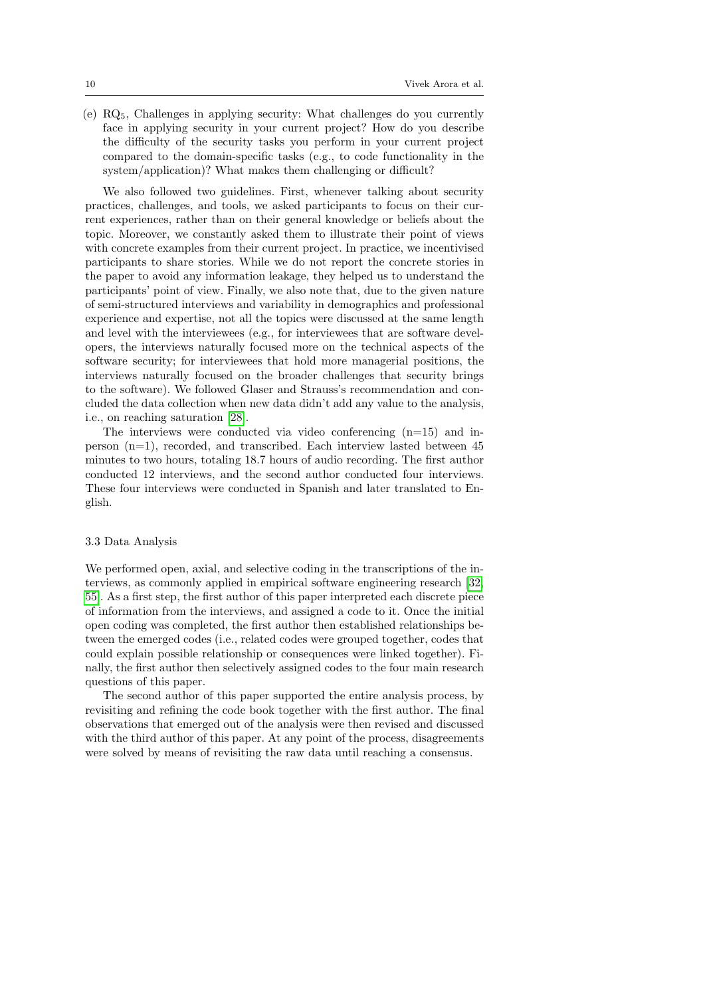(e) RQ5, Challenges in applying security: What challenges do you currently face in applying security in your current project? How do you describe the difficulty of the security tasks you perform in your current project compared to the domain-specific tasks (e.g., to code functionality in the system/application)? What makes them challenging or difficult?

We also followed two guidelines. First, whenever talking about security practices, challenges, and tools, we asked participants to focus on their current experiences, rather than on their general knowledge or beliefs about the topic. Moreover, we constantly asked them to illustrate their point of views with concrete examples from their current project. In practice, we incentivised participants to share stories. While we do not report the concrete stories in the paper to avoid any information leakage, they helped us to understand the participants' point of view. Finally, we also note that, due to the given nature of semi-structured interviews and variability in demographics and professional experience and expertise, not all the topics were discussed at the same length and level with the interviewees (e.g., for interviewees that are software developers, the interviews naturally focused more on the technical aspects of the software security; for interviewees that hold more managerial positions, the interviews naturally focused on the broader challenges that security brings to the software). We followed Glaser and Strauss's recommendation and concluded the data collection when new data didn't add any value to the analysis, i.e., on reaching saturation [\[28\]](#page-39-16).

The interviews were conducted via video conferencing  $(n=15)$  and inperson (n=1), recorded, and transcribed. Each interview lasted between 45 minutes to two hours, totaling 18.7 hours of audio recording. The first author conducted 12 interviews, and the second author conducted four interviews. These four interviews were conducted in Spanish and later translated to English.

## 3.3 Data Analysis

We performed open, axial, and selective coding in the transcriptions of the interviews, as commonly applied in empirical software engineering research [\[32,](#page-39-17) [55\]](#page-40-16). As a first step, the first author of this paper interpreted each discrete piece of information from the interviews, and assigned a code to it. Once the initial open coding was completed, the first author then established relationships between the emerged codes (i.e., related codes were grouped together, codes that could explain possible relationship or consequences were linked together). Finally, the first author then selectively assigned codes to the four main research questions of this paper.

The second author of this paper supported the entire analysis process, by revisiting and refining the code book together with the first author. The final observations that emerged out of the analysis were then revised and discussed with the third author of this paper. At any point of the process, disagreements were solved by means of revisiting the raw data until reaching a consensus.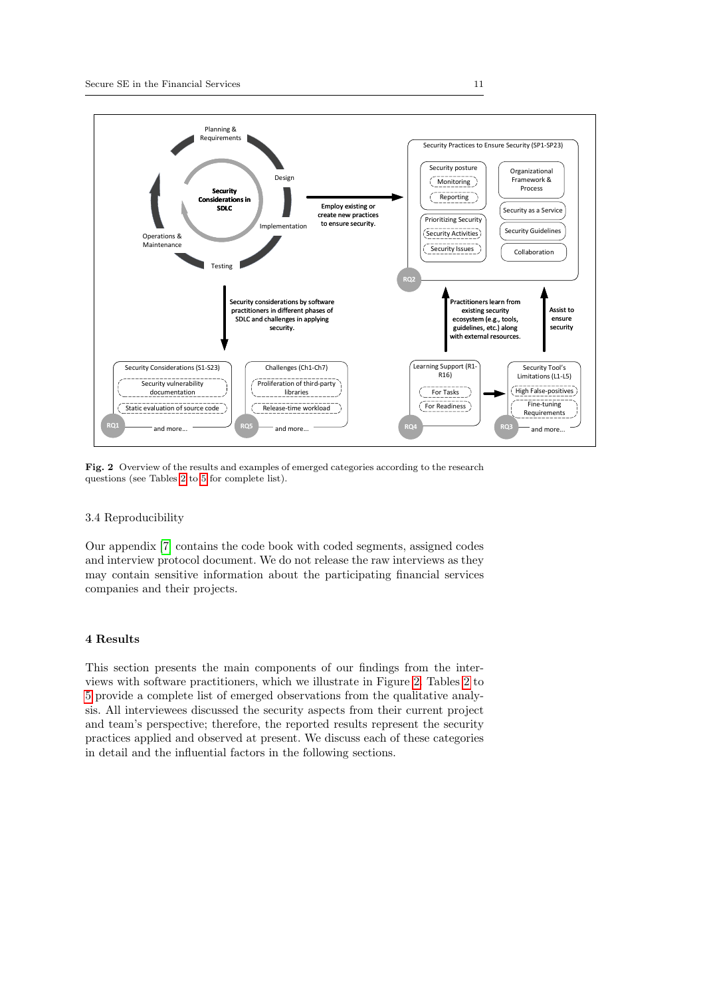

<span id="page-10-0"></span>Fig. 2 Overview of the results and examples of emerged categories according to the research questions (see Tables [2](#page-11-0) to [5](#page-29-0) for complete list).

#### 3.4 Reproducibility

Our appendix [\[7\]](#page-38-18) contains the code book with coded segments, assigned codes and interview protocol document. We do not release the raw interviews as they may contain sensitive information about the participating financial services companies and their projects.

## 4 Results

This section presents the main components of our findings from the interviews with software practitioners, which we illustrate in Figure [2.](#page-10-0) Tables [2](#page-11-0) to [5](#page-29-0) provide a complete list of emerged observations from the qualitative analysis. All interviewees discussed the security aspects from their current project and team's perspective; therefore, the reported results represent the security practices applied and observed at present. We discuss each of these categories in detail and the influential factors in the following sections.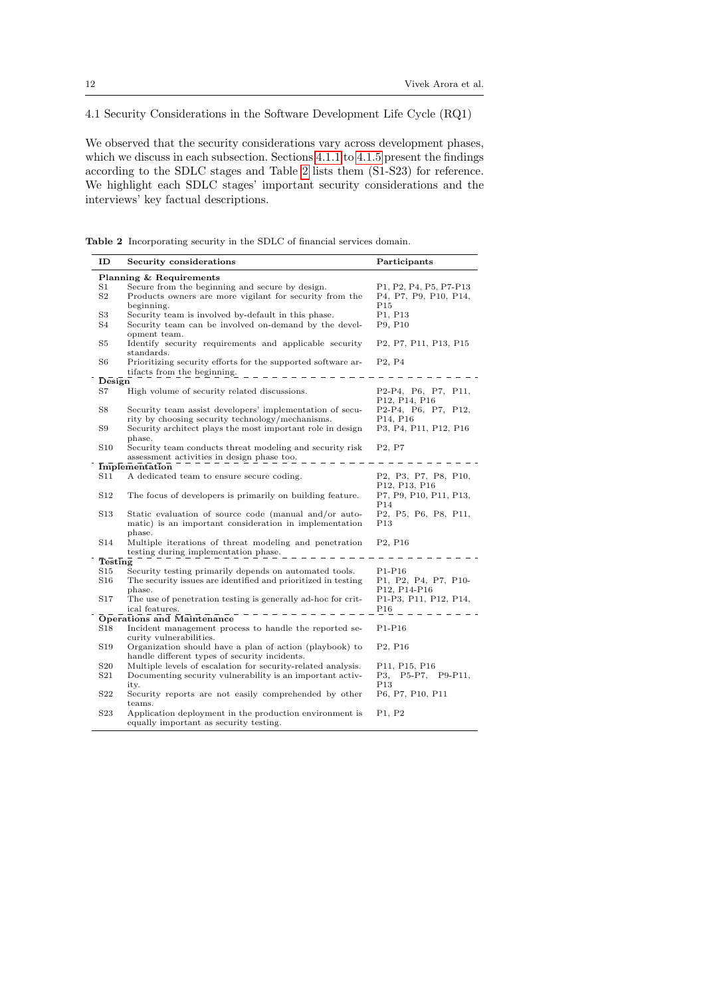## <span id="page-11-1"></span>4.1 Security Considerations in the Software Development Life Cycle (RQ1)

We observed that the security considerations vary across development phases, which we discuss in each subsection. Sections [4.1.1](#page-12-0) to [4.1.5](#page-16-0) present the findings according to the SDLC stages and Table [2](#page-11-0) lists them (S1-S23) for reference. We highlight each SDLC stages' important security considerations and the interviews' key factual descriptions.

Table 2 Incorporating security in the SDLC of financial services domain.

<span id="page-11-0"></span>

| ID              | Security considerations                                                                                                   | Participants                                                                                           |
|-----------------|---------------------------------------------------------------------------------------------------------------------------|--------------------------------------------------------------------------------------------------------|
|                 | Planning & Requirements                                                                                                   |                                                                                                        |
| S1              | Secure from the beginning and secure by design.                                                                           | P <sub>1</sub> , P <sub>2</sub> , P <sub>4</sub> , P <sub>5</sub> , P <sub>7</sub> -P <sub>13</sub>    |
| $\rm S2$        | Products owners are more vigilant for security from the<br>beginning.                                                     | P4, P7, P9, P10, P14,<br>P15                                                                           |
| $^{\rm S3}$     | Security team is involved by-default in this phase.                                                                       | P1, P13                                                                                                |
| S4              | Security team can be involved on-demand by the devel-<br>opment team.                                                     | P9, P10                                                                                                |
| S5              | Identify security requirements and applicable security<br>standards.                                                      | P <sub>2</sub> , P <sub>7</sub> , P <sub>11</sub> , P <sub>13</sub> , P <sub>15</sub>                  |
| S6              | Prioritizing security efforts for the supported software ar-<br>tifacts from the beginning.                               | P <sub>2</sub> , P <sub>4</sub>                                                                        |
| Design          |                                                                                                                           |                                                                                                        |
| S7              | High volume of security related discussions.                                                                              | P2-P4, P6, P7, P11,<br>P <sub>12</sub> , P <sub>14</sub> , P <sub>16</sub>                             |
| S8              | Security team assist developers' implementation of secu-<br>rity by choosing security technology/mechanisms.              | P2-P4, P6, P7, P12,<br>P <sub>14</sub> , P <sub>16</sub>                                               |
| S9              | Security architect plays the most important role in design<br>phase.                                                      | P3, P4, P11, P12, P16                                                                                  |
| S10             | Security team conducts threat modeling and security risk<br>assessment activities in design phase too.                    | P <sub>2</sub> , P <sub>7</sub>                                                                        |
|                 | Implementation                                                                                                            |                                                                                                        |
| S11             | A dedicated team to ensure secure coding.                                                                                 | P <sub>2</sub> , P <sub>3</sub> , P <sub>7</sub> , P <sub>8</sub> , P <sub>10</sub> ,<br>P12, P13, P16 |
| S12             | The focus of developers is primarily on building feature.                                                                 | P7, P9, P10, P11, P13,<br>P <sub>14</sub>                                                              |
| S13             | Static evaluation of source code (manual and/or auto-<br>matic) is an important consideration in implementation<br>phase. | P2, P5, P6, P8, P11,<br>P13                                                                            |
| S14             | Multiple iterations of threat modeling and penetration<br>testing during implementation phase.                            | P <sub>2</sub> , P <sub>16</sub>                                                                       |
| Testing         |                                                                                                                           |                                                                                                        |
| S15             | Security testing primarily depends on automated tools.                                                                    | $P1-P16$                                                                                               |
| S16             | The security issues are identified and prioritized in testing<br>phase.                                                   | P1, P2, P4, P7, P10-<br>P12, P14-P16                                                                   |
| S17             | The use of penetration testing is generally ad-hoc for crit-<br>ical features.                                            | P1-P3, P11, P12, P14,<br>P16                                                                           |
|                 | Operations and Maintenance                                                                                                |                                                                                                        |
| S18             | Incident management process to handle the reported se-<br>curity vulnerabilities.                                         | $P1-P16$                                                                                               |
| S19             | Organization should have a plan of action (playbook) to<br>handle different types of security incidents.                  | P <sub>2</sub> , P <sub>16</sub>                                                                       |
| $^{\rm S20}$    | Multiple levels of escalation for security-related analysis.                                                              | P11, P15, P16                                                                                          |
| $^{\rm S21}$    | Documenting security vulnerability is an important activ-<br>ity.                                                         | P3, P5-P7, P9-P11,<br>P <sub>13</sub>                                                                  |
| S22             | Security reports are not easily comprehended by other<br>teams.                                                           | P6, P7, P10, P11                                                                                       |
| S <sub>23</sub> | Application deployment in the production environment is<br>equally important as security testing.                         | P1, P2                                                                                                 |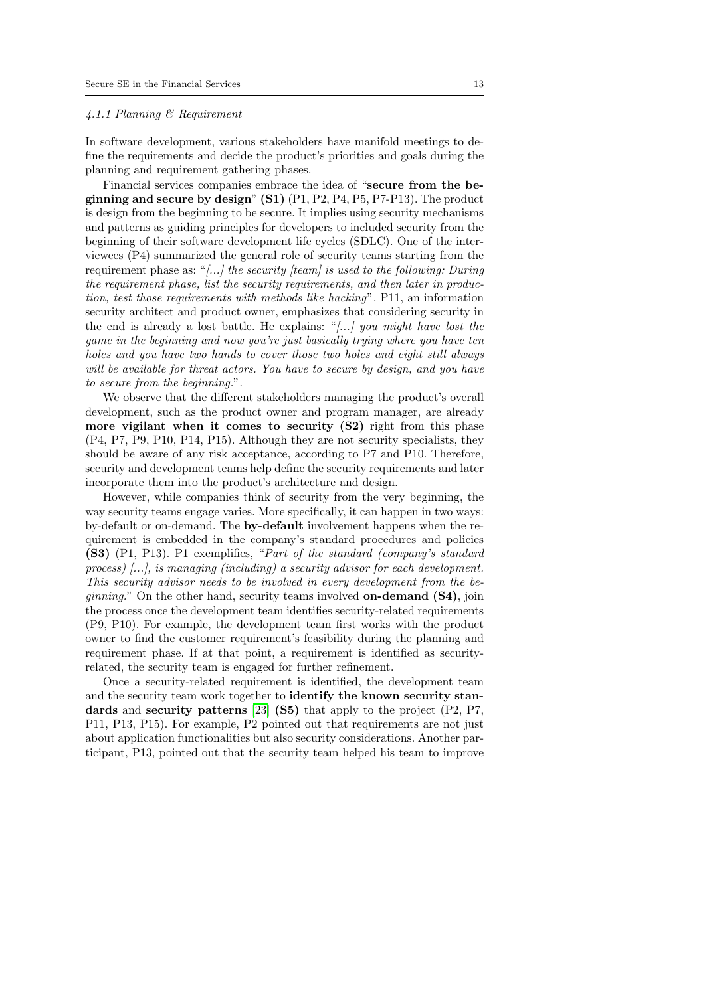#### <span id="page-12-0"></span>4.1.1 Planning & Requirement

In software development, various stakeholders have manifold meetings to define the requirements and decide the product's priorities and goals during the planning and requirement gathering phases.

Financial services companies embrace the idea of "secure from the beginning and secure by design"  $(S1)$   $(P1, P2, P4, P5, P7-P13)$ . The product is design from the beginning to be secure. It implies using security mechanisms and patterns as guiding principles for developers to included security from the beginning of their software development life cycles (SDLC). One of the interviewees (P4) summarized the general role of security teams starting from the requirement phase as: "[...] the security [team] is used to the following: During the requirement phase, list the security requirements, and then later in production, test those requirements with methods like hacking". P11, an information security architect and product owner, emphasizes that considering security in the end is already a lost battle. He explains: "[...] you might have lost the game in the beginning and now you're just basically trying where you have ten holes and you have two hands to cover those two holes and eight still always will be available for threat actors. You have to secure by design, and you have to secure from the beginning.".

We observe that the different stakeholders managing the product's overall development, such as the product owner and program manager, are already more vigilant when it comes to security (S2) right from this phase (P4, P7, P9, P10, P14, P15). Although they are not security specialists, they should be aware of any risk acceptance, according to P7 and P10. Therefore, security and development teams help define the security requirements and later incorporate them into the product's architecture and design.

However, while companies think of security from the very beginning, the way security teams engage varies. More specifically, it can happen in two ways: by-default or on-demand. The by-default involvement happens when the requirement is embedded in the company's standard procedures and policies (S3) (P1, P13). P1 exemplifies, "Part of the standard (company's standard process) [...], is managing (including) a security advisor for each development. This security advisor needs to be involved in every development from the be*ginning.*" On the other hand, security teams involved **on-demand (S4)**, join the process once the development team identifies security-related requirements (P9, P10). For example, the development team first works with the product owner to find the customer requirement's feasibility during the planning and requirement phase. If at that point, a requirement is identified as securityrelated, the security team is engaged for further refinement.

Once a security-related requirement is identified, the development team and the security team work together to identify the known security stan-dards and security patterns [\[23\]](#page-39-18) (S5) that apply to the project (P2, P7, P11, P13, P15). For example, P2 pointed out that requirements are not just about application functionalities but also security considerations. Another participant, P13, pointed out that the security team helped his team to improve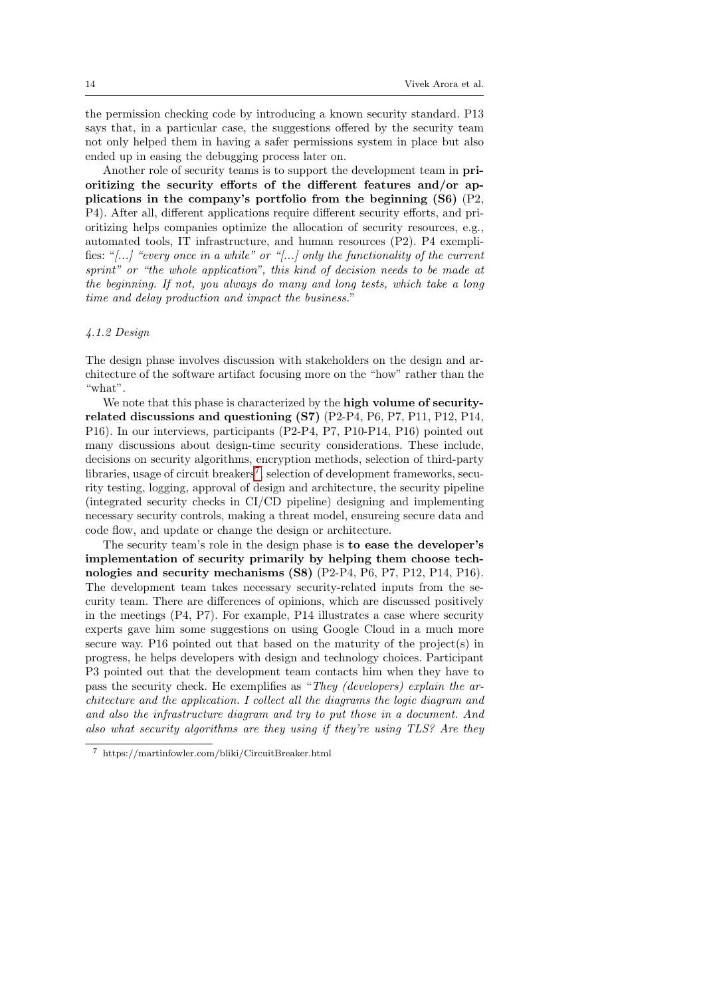the permission checking code by introducing a known security standard. P13 says that, in a particular case, the suggestions offered by the security team not only helped them in having a safer permissions system in place but also ended up in easing the debugging process later on.

Another role of security teams is to support the development team in prioritizing the security efforts of the different features and/or applications in the company's portfolio from the beginning (S6) (P2, P4). After all, different applications require different security efforts, and prioritizing helps companies optimize the allocation of security resources, e.g., automated tools, IT infrastructure, and human resources (P2). P4 exemplifies: " $[...]$  "every once in a while" or " $[...]$  only the functionality of the current sprint" or "the whole application", this kind of decision needs to be made at the beginning. If not, you always do many and long tests, which take a long time and delay production and impact the business."

## <span id="page-13-1"></span>4.1.2 Design

The design phase involves discussion with stakeholders on the design and architecture of the software artifact focusing more on the "how" rather than the "what".

We note that this phase is characterized by the high volume of securityrelated discussions and questioning (S7) (P2-P4, P6, P7, P11, P12, P14, P16). In our interviews, participants (P2-P4, P7, P10-P14, P16) pointed out many discussions about design-time security considerations. These include, decisions on security algorithms, encryption methods, selection of third-party libraries, usage of circuit breakers<sup>[7](#page-13-0)</sup>, selection of development frameworks, security testing, logging, approval of design and architecture, the security pipeline (integrated security checks in CI/CD pipeline) designing and implementing necessary security controls, making a threat model, ensureing secure data and code flow, and update or change the design or architecture.

The security team's role in the design phase is to ease the developer's implementation of security primarily by helping them choose technologies and security mechanisms  $(S8)$   $(P2-P4, P6, P7, P12, P14, P16)$ . The development team takes necessary security-related inputs from the security team. There are differences of opinions, which are discussed positively in the meetings (P4, P7). For example, P14 illustrates a case where security experts gave him some suggestions on using Google Cloud in a much more secure way. P16 pointed out that based on the maturity of the project(s) in progress, he helps developers with design and technology choices. Participant P3 pointed out that the development team contacts him when they have to pass the security check. He exemplifies as "They (developers) explain the architecture and the application. I collect all the diagrams the logic diagram and and also the infrastructure diagram and try to put those in a document. And also what security algorithms are they using if they're using TLS? Are they

<span id="page-13-0"></span> $^7\,$ https://martinfowler.com/bliki/CircuitBreaker.html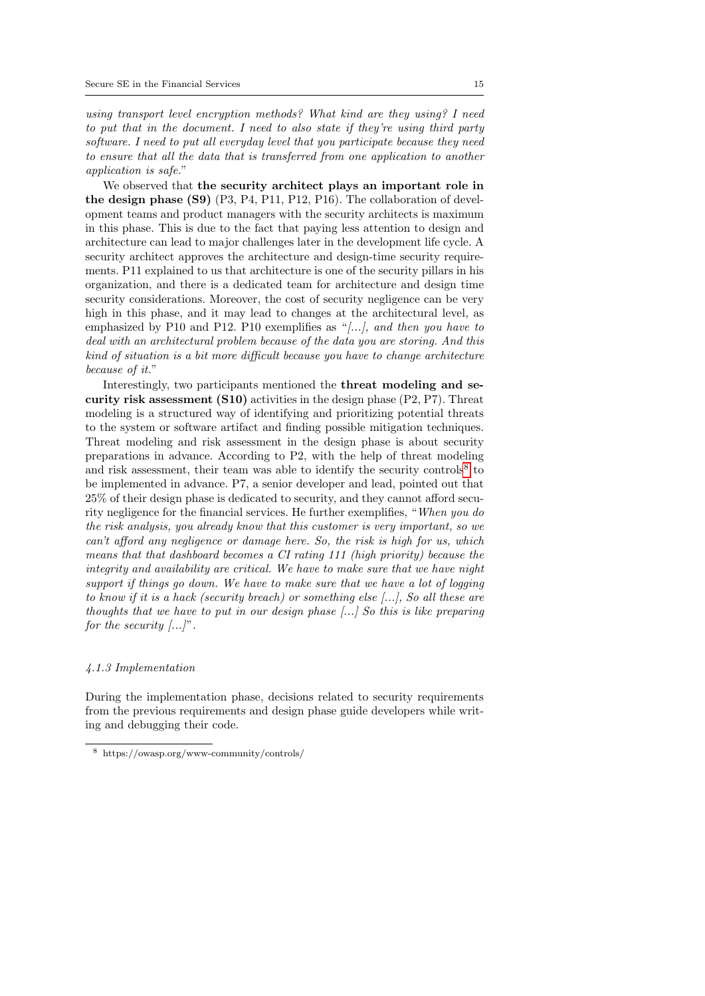using transport level encryption methods? What kind are they using? I need to put that in the document. I need to also state if they're using third party software. I need to put all everyday level that you participate because they need to ensure that all the data that is transferred from one application to another application is safe."

We observed that the security architect plays an important role in the design phase (S9) (P3, P4, P11, P12, P16). The collaboration of development teams and product managers with the security architects is maximum in this phase. This is due to the fact that paying less attention to design and architecture can lead to major challenges later in the development life cycle. A security architect approves the architecture and design-time security requirements. P11 explained to us that architecture is one of the security pillars in his organization, and there is a dedicated team for architecture and design time security considerations. Moreover, the cost of security negligence can be very high in this phase, and it may lead to changes at the architectural level, as emphasized by P10 and P12. P10 exemplifies as "[...], and then you have to deal with an architectural problem because of the data you are storing. And this kind of situation is a bit more difficult because you have to change architecture because of it."

Interestingly, two participants mentioned the threat modeling and security risk assessment  $(S10)$  activities in the design phase  $(P2, P7)$ . Threat modeling is a structured way of identifying and prioritizing potential threats to the system or software artifact and finding possible mitigation techniques. Threat modeling and risk assessment in the design phase is about security preparations in advance. According to P2, with the help of threat modeling and risk assessment, their team was able to identify the security controls<sup>[8](#page-14-0)</sup> to be implemented in advance. P7, a senior developer and lead, pointed out that 25% of their design phase is dedicated to security, and they cannot afford security negligence for the financial services. He further exemplifies, "When you do the risk analysis, you already know that this customer is very important, so we can't afford any negligence or damage here. So, the risk is high for us, which means that that dashboard becomes a CI rating 111 (high priority) because the integrity and availability are critical. We have to make sure that we have night support if things go down. We have to make sure that we have a lot of logging to know if it is a hack (security breach) or something else [...], So all these are thoughts that we have to put in our design phase [...] So this is like preparing for the security  $[...]$ .

## <span id="page-14-1"></span>4.1.3 Implementation

During the implementation phase, decisions related to security requirements from the previous requirements and design phase guide developers while writing and debugging their code.

<span id="page-14-0"></span><sup>8</sup> https://owasp.org/www-community/controls/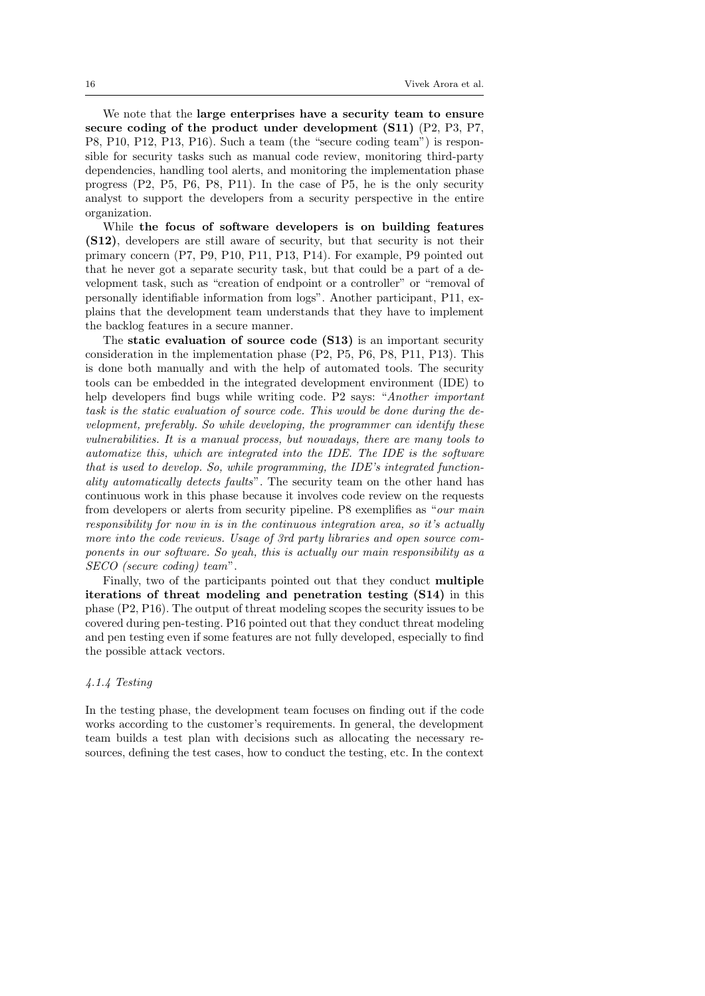We note that the large enterprises have a security team to ensure secure coding of the product under development (S11) (P2, P3, P7, P8, P10, P12, P13, P16). Such a team (the "secure coding team") is responsible for security tasks such as manual code review, monitoring third-party dependencies, handling tool alerts, and monitoring the implementation phase progress (P2, P5, P6, P8, P11). In the case of P5, he is the only security analyst to support the developers from a security perspective in the entire organization.

While the focus of software developers is on building features (S12), developers are still aware of security, but that security is not their primary concern (P7, P9, P10, P11, P13, P14). For example, P9 pointed out that he never got a separate security task, but that could be a part of a development task, such as "creation of endpoint or a controller" or "removal of personally identifiable information from logs". Another participant, P11, explains that the development team understands that they have to implement the backlog features in a secure manner.

The static evaluation of source code (S13) is an important security consideration in the implementation phase (P2, P5, P6, P8, P11, P13). This is done both manually and with the help of automated tools. The security tools can be embedded in the integrated development environment (IDE) to help developers find bugs while writing code. P2 says: "Another important task is the static evaluation of source code. This would be done during the development, preferably. So while developing, the programmer can identify these vulnerabilities. It is a manual process, but nowadays, there are many tools to automatize this, which are integrated into the IDE. The IDE is the software that is used to develop. So, while programming, the IDE's integrated functionality automatically detects faults". The security team on the other hand has continuous work in this phase because it involves code review on the requests from developers or alerts from security pipeline. P8 exemplifies as "our main responsibility for now in is in the continuous integration area, so it's actually more into the code reviews. Usage of 3rd party libraries and open source components in our software. So yeah, this is actually our main responsibility as a SECO (secure coding) team".

Finally, two of the participants pointed out that they conduct multiple iterations of threat modeling and penetration testing (S14) in this phase (P2, P16). The output of threat modeling scopes the security issues to be covered during pen-testing. P16 pointed out that they conduct threat modeling and pen testing even if some features are not fully developed, especially to find the possible attack vectors.

## <span id="page-15-0"></span>4.1.4 Testing

In the testing phase, the development team focuses on finding out if the code works according to the customer's requirements. In general, the development team builds a test plan with decisions such as allocating the necessary resources, defining the test cases, how to conduct the testing, etc. In the context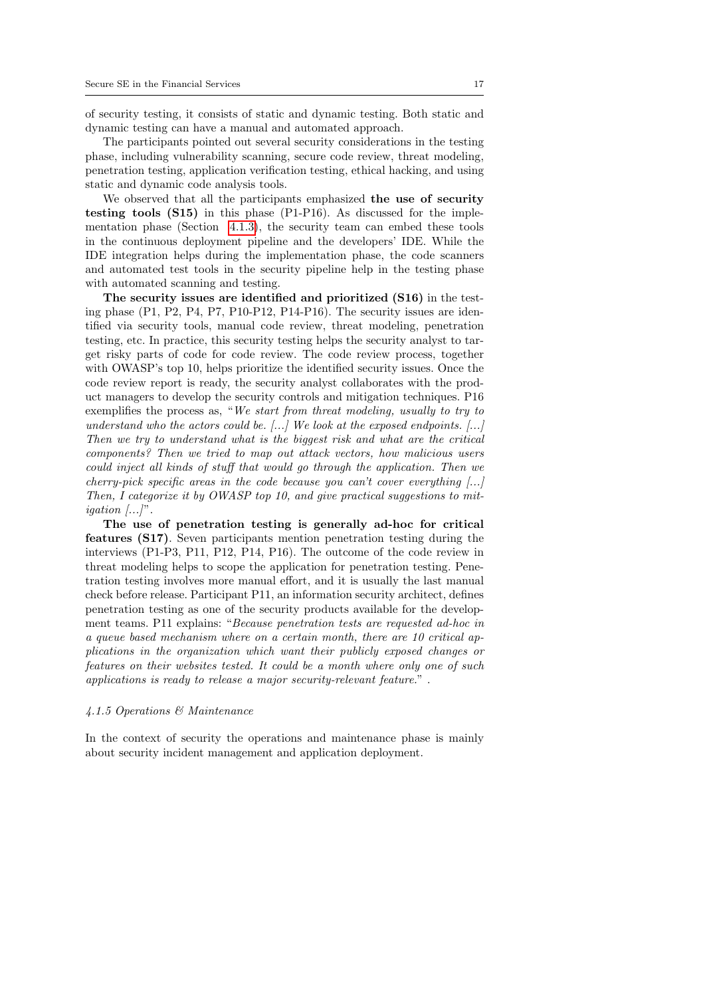of security testing, it consists of static and dynamic testing. Both static and dynamic testing can have a manual and automated approach.

The participants pointed out several security considerations in the testing phase, including vulnerability scanning, secure code review, threat modeling, penetration testing, application verification testing, ethical hacking, and using static and dynamic code analysis tools.

We observed that all the participants emphasized the use of security testing tools (S15) in this phase (P1-P16). As discussed for the implementation phase (Section [4.1.3\)](#page-14-1), the security team can embed these tools in the continuous deployment pipeline and the developers' IDE. While the IDE integration helps during the implementation phase, the code scanners and automated test tools in the security pipeline help in the testing phase with automated scanning and testing.

The security issues are identified and prioritized (S16) in the testing phase (P1, P2, P4, P7, P10-P12, P14-P16). The security issues are identified via security tools, manual code review, threat modeling, penetration testing, etc. In practice, this security testing helps the security analyst to target risky parts of code for code review. The code review process, together with OWASP's top 10, helps prioritize the identified security issues. Once the code review report is ready, the security analyst collaborates with the product managers to develop the security controls and mitigation techniques. P16 exemplifies the process as, "We start from threat modeling, usually to try to understand who the actors could be.  $[...]$  We look at the exposed endpoints.  $[...]$ Then we try to understand what is the biggest risk and what are the critical components? Then we tried to map out attack vectors, how malicious users could inject all kinds of stuff that would go through the application. Then we cherry-pick specific areas in the code because you can't cover everything  $[\dots]$ Then, I categorize it by OWASP top 10, and give practical suggestions to mit*igation*  $\ldots$ ".

The use of penetration testing is generally ad-hoc for critical features (S17). Seven participants mention penetration testing during the interviews (P1-P3, P11, P12, P14, P16). The outcome of the code review in threat modeling helps to scope the application for penetration testing. Penetration testing involves more manual effort, and it is usually the last manual check before release. Participant P11, an information security architect, defines penetration testing as one of the security products available for the development teams. P11 explains: "Because penetration tests are requested ad-hoc in a queue based mechanism where on a certain month, there are 10 critical applications in the organization which want their publicly exposed changes or features on their websites tested. It could be a month where only one of such applications is ready to release a major security-relevant feature." .

#### <span id="page-16-0"></span>4.1.5 Operations & Maintenance

In the context of security the operations and maintenance phase is mainly about security incident management and application deployment.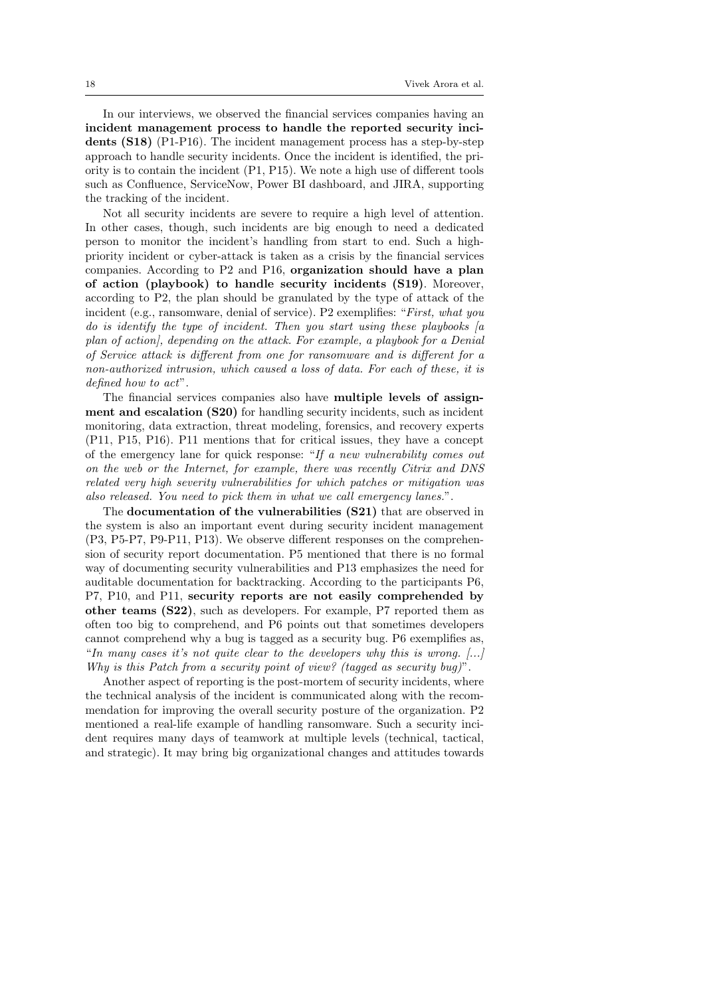In our interviews, we observed the financial services companies having an incident management process to handle the reported security incidents (S18) (P1-P16). The incident management process has a step-by-step approach to handle security incidents. Once the incident is identified, the priority is to contain the incident (P1, P15). We note a high use of different tools such as Confluence, ServiceNow, Power BI dashboard, and JIRA, supporting the tracking of the incident.

Not all security incidents are severe to require a high level of attention. In other cases, though, such incidents are big enough to need a dedicated person to monitor the incident's handling from start to end. Such a highpriority incident or cyber-attack is taken as a crisis by the financial services companies. According to P2 and P16, organization should have a plan of action (playbook) to handle security incidents (S19). Moreover, according to P2, the plan should be granulated by the type of attack of the incident (e.g., ransomware, denial of service). P2 exemplifies: "First, what you do is identify the type of incident. Then you start using these playbooks  $[a]$ plan of action], depending on the attack. For example, a playbook for a Denial of Service attack is different from one for ransomware and is different for a non-authorized intrusion, which caused a loss of data. For each of these, it is defined how to act".

The financial services companies also have multiple levels of assignment and escalation (S20) for handling security incidents, such as incident monitoring, data extraction, threat modeling, forensics, and recovery experts (P11, P15, P16). P11 mentions that for critical issues, they have a concept of the emergency lane for quick response: "If a new vulnerability comes out on the web or the Internet, for example, there was recently Citrix and DNS related very high severity vulnerabilities for which patches or mitigation was also released. You need to pick them in what we call emergency lanes.".

The documentation of the vulnerabilities (S21) that are observed in the system is also an important event during security incident management (P3, P5-P7, P9-P11, P13). We observe different responses on the comprehension of security report documentation. P5 mentioned that there is no formal way of documenting security vulnerabilities and P13 emphasizes the need for auditable documentation for backtracking. According to the participants P6, P7, P10, and P11, security reports are not easily comprehended by other teams (S22), such as developers. For example, P7 reported them as often too big to comprehend, and P6 points out that sometimes developers cannot comprehend why a bug is tagged as a security bug. P6 exemplifies as, "In many cases it's not quite clear to the developers why this is wrong.  $[\dots]$ Why is this Patch from a security point of view? (tagged as security bug)".

Another aspect of reporting is the post-mortem of security incidents, where the technical analysis of the incident is communicated along with the recommendation for improving the overall security posture of the organization. P2 mentioned a real-life example of handling ransomware. Such a security incident requires many days of teamwork at multiple levels (technical, tactical, and strategic). It may bring big organizational changes and attitudes towards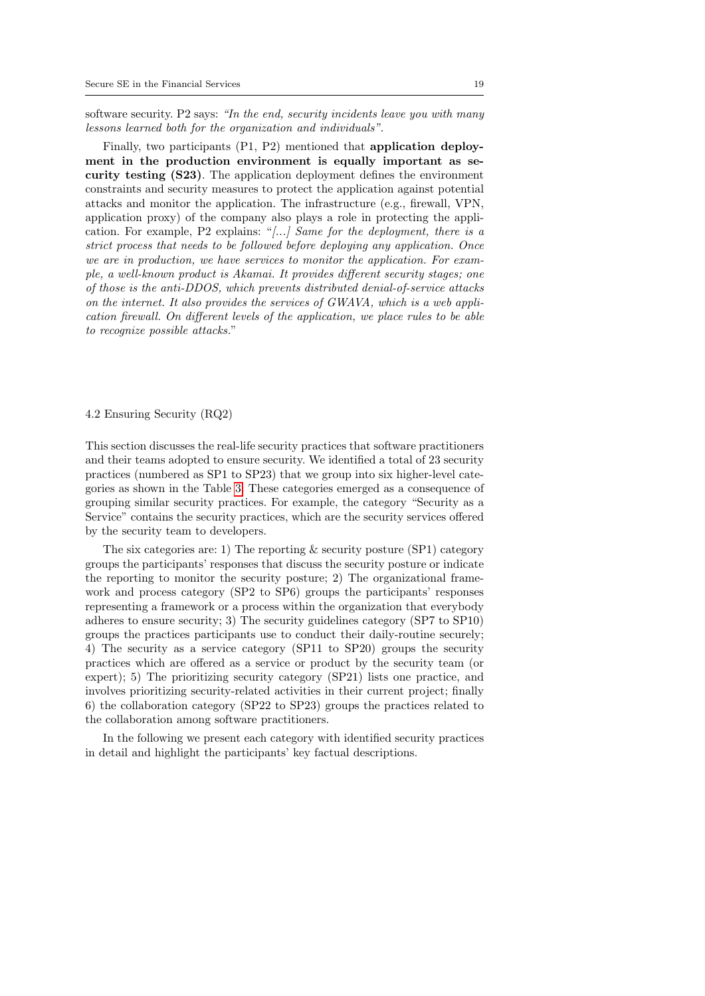software security. P2 says: "In the end, security incidents leave you with many lessons learned both for the organization and individuals".

Finally, two participants (P1, P2) mentioned that application deployment in the production environment is equally important as security testing (S23). The application deployment defines the environment constraints and security measures to protect the application against potential attacks and monitor the application. The infrastructure (e.g., firewall, VPN, application proxy) of the company also plays a role in protecting the application. For example, P2 explains: "[...] Same for the deployment, there is a strict process that needs to be followed before deploying any application. Once we are in production, we have services to monitor the application. For example, a well-known product is Akamai. It provides different security stages; one of those is the anti-DDOS, which prevents distributed denial-of-service attacks on the internet. It also provides the services of  $GWAVA$ , which is a web application firewall. On different levels of the application, we place rules to be able to recognize possible attacks."

#### <span id="page-18-0"></span>4.2 Ensuring Security (RQ2)

This section discusses the real-life security practices that software practitioners and their teams adopted to ensure security. We identified a total of 23 security practices (numbered as SP1 to SP23) that we group into six higher-level categories as shown in the Table [3.](#page-19-0) These categories emerged as a consequence of grouping similar security practices. For example, the category "Security as a Service" contains the security practices, which are the security services offered by the security team to developers.

The six categories are: 1) The reporting  $&$  security posture (SP1) category groups the participants' responses that discuss the security posture or indicate the reporting to monitor the security posture; 2) The organizational framework and process category (SP2 to SP6) groups the participants' responses representing a framework or a process within the organization that everybody adheres to ensure security; 3) The security guidelines category (SP7 to SP10) groups the practices participants use to conduct their daily-routine securely; 4) The security as a service category (SP11 to SP20) groups the security practices which are offered as a service or product by the security team (or expert); 5) The prioritizing security category (SP21) lists one practice, and involves prioritizing security-related activities in their current project; finally 6) the collaboration category (SP22 to SP23) groups the practices related to the collaboration among software practitioners.

In the following we present each category with identified security practices in detail and highlight the participants' key factual descriptions.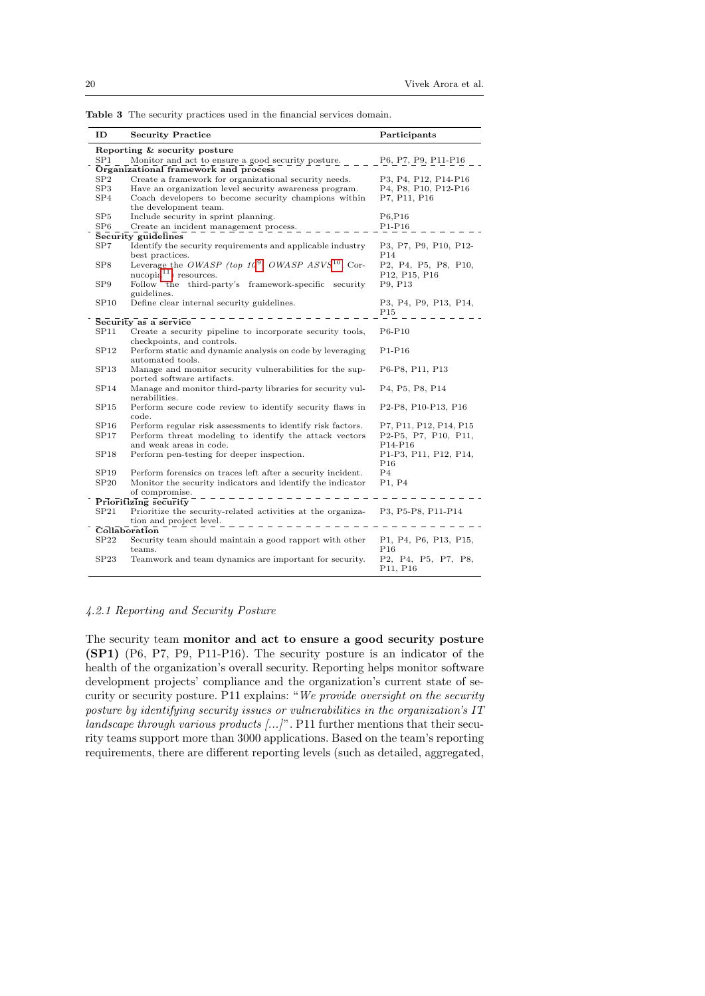<span id="page-19-0"></span>

| ID                | <b>Security Practice</b>                                                       | Participants                                                       |  |
|-------------------|--------------------------------------------------------------------------------|--------------------------------------------------------------------|--|
|                   | Reporting & security posture                                                   |                                                                    |  |
| SP1               | Monitor and act to ensure a good security posture.                             | P6, P7, P9, P11-P16                                                |  |
|                   | Organizational framework and process                                           |                                                                    |  |
| ${\rm SP2}$       | Create a framework for organizational security needs.                          | P3, P4, P12, P14-P16                                               |  |
| SP <sub>3</sub>   | Have an organization level security awareness program.                         | P4, P8, P10, P12-P16                                               |  |
| SP4               | Coach developers to become security champions within                           | P7, P11, P16                                                       |  |
|                   | the development team.                                                          |                                                                    |  |
| SP5               | Include security in sprint planning.                                           | P6,P16                                                             |  |
| $_{\mathrm{SP6}}$ | Create an incident management process.                                         | $P1-P16$                                                           |  |
|                   | Security guidelines                                                            |                                                                    |  |
| SP7               | Identify the security requirements and applicable industry                     | P3, P7, P9, P10, P12-                                              |  |
|                   | best practices.                                                                | P14                                                                |  |
| SP8               | Leverage the <i>OWASP</i> (top $10^9$ , <i>OWASP ASVS</i> <sup>10</sup> , Cor- | P2, P4, P5, P8, P10,                                               |  |
|                   | $nucopia11$ resources.                                                         | P12, P15, P16                                                      |  |
| SP9               | Follow the third-party's framework-specific security                           | P9, P13                                                            |  |
|                   | guidelines.                                                                    |                                                                    |  |
| SP10              | Define clear internal security guidelines.                                     | P3, P4, P9, P13, P14,                                              |  |
|                   |                                                                                | P15                                                                |  |
|                   | Security as a service                                                          |                                                                    |  |
| SP11              | Create a security pipeline to incorporate security tools,                      | $P6-P10$                                                           |  |
|                   | checkpoints, and controls.                                                     |                                                                    |  |
| SP12              | Perform static and dynamic analysis on code by leveraging                      | P1-P16                                                             |  |
|                   | automated tools.                                                               |                                                                    |  |
| SP <sub>13</sub>  | Manage and monitor security vulnerabilities for the sup-                       | P6-P8, P11, P13                                                    |  |
|                   | ported software artifacts.                                                     |                                                                    |  |
| SP14              | Manage and monitor third-party libraries for security vul-                     | P <sub>4</sub> , P <sub>5</sub> , P <sub>8</sub> , P <sub>14</sub> |  |
|                   | nerabilities.                                                                  |                                                                    |  |
| SP15              | Perform secure code review to identify security flaws in                       | P2-P8, P10-P13, P16                                                |  |
|                   | code.                                                                          |                                                                    |  |
| SP16              | Perform regular risk assessments to identify risk factors.                     | P7, P11, P12, P14, P15                                             |  |
| SP17              | Perform threat modeling to identify the attack vectors                         | P2-P5, P7, P10, P11,                                               |  |
|                   | and weak areas in code.                                                        | P <sub>14</sub> -P <sub>16</sub>                                   |  |
| SP18              | Perform pen-testing for deeper inspection.                                     | P1-P3, P11, P12, P14,                                              |  |
|                   |                                                                                | P16                                                                |  |
| SP <sub>19</sub>  | Perform forensics on traces left after a security incident.                    | P4                                                                 |  |
| SP20              | Monitor the security indicators and identify the indicator                     | P1, P4                                                             |  |
|                   | of compromise.                                                                 |                                                                    |  |
|                   | Prioritizing security                                                          |                                                                    |  |
| SP21              | Prioritize the security-related activities at the organiza- P3, P5-P8, P11-P14 |                                                                    |  |
|                   | tion and project level.                                                        |                                                                    |  |
|                   | Collaboration                                                                  |                                                                    |  |
| SP22              | Security team should maintain a good rapport with other                        | P1, P4, P6, P13, P15,                                              |  |
|                   | teams.                                                                         | P <sub>16</sub>                                                    |  |
| SP23              | Teamwork and team dynamics are important for security.                         | P2, P4, P5, P7, P8,                                                |  |
|                   |                                                                                | P11, P16                                                           |  |

Table 3 The security practices used in the financial services domain.

## <span id="page-19-1"></span>4.2.1 Reporting and Security Posture

The security team monitor and act to ensure a good security posture (SP1) (P6, P7, P9, P11-P16). The security posture is an indicator of the health of the organization's overall security. Reporting helps monitor software development projects' compliance and the organization's current state of security or security posture. P11 explains: "We provide oversight on the security posture by identifying security issues or vulnerabilities in the organization's IT landscape through various products  $(...)$ ". P11 further mentions that their security teams support more than 3000 applications. Based on the team's reporting requirements, there are different reporting levels (such as detailed, aggregated,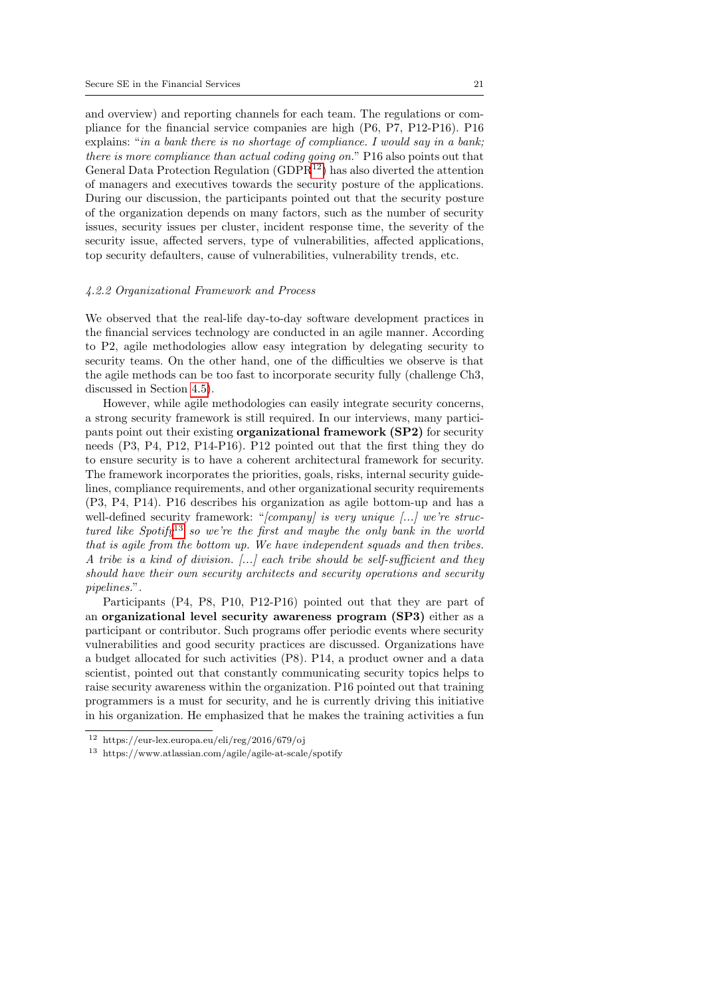and overview) and reporting channels for each team. The regulations or compliance for the financial service companies are high (P6, P7, P12-P16). P16 explains: "in a bank there is no shortage of compliance. I would say in a bank; there is more compliance than actual coding going on." P16 also points out that General Data Protection Regulation (GDPR<sup>[12](#page-20-0)</sup>) has also diverted the attention of managers and executives towards the security posture of the applications. During our discussion, the participants pointed out that the security posture of the organization depends on many factors, such as the number of security issues, security issues per cluster, incident response time, the severity of the security issue, affected servers, type of vulnerabilities, affected applications, top security defaulters, cause of vulnerabilities, vulnerability trends, etc.

#### <span id="page-20-2"></span>4.2.2 Organizational Framework and Process

We observed that the real-life day-to-day software development practices in the financial services technology are conducted in an agile manner. According to P2, agile methodologies allow easy integration by delegating security to security teams. On the other hand, one of the difficulties we observe is that the agile methods can be too fast to incorporate security fully (challenge Ch3, discussed in Section [4.5\)](#page-32-0).

However, while agile methodologies can easily integrate security concerns, a strong security framework is still required. In our interviews, many participants point out their existing organizational framework (SP2) for security needs (P3, P4, P12, P14-P16). P12 pointed out that the first thing they do to ensure security is to have a coherent architectural framework for security. The framework incorporates the priorities, goals, risks, internal security guidelines, compliance requirements, and other organizational security requirements (P3, P4, P14). P16 describes his organization as agile bottom-up and has a well-defined security framework: " $[company]$  is very unique  $[...]$  we're struc-tured like Spotify<sup>[13](#page-20-1)</sup> so we're the first and maybe the only bank in the world that is agile from the bottom up. We have independent squads and then tribes. A tribe is a kind of division.  $[\dots]$  each tribe should be self-sufficient and they should have their own security architects and security operations and security pipelines.".

Participants (P4, P8, P10, P12-P16) pointed out that they are part of an organizational level security awareness program (SP3) either as a participant or contributor. Such programs offer periodic events where security vulnerabilities and good security practices are discussed. Organizations have a budget allocated for such activities (P8). P14, a product owner and a data scientist, pointed out that constantly communicating security topics helps to raise security awareness within the organization. P16 pointed out that training programmers is a must for security, and he is currently driving this initiative in his organization. He emphasized that he makes the training activities a fun

<span id="page-20-0"></span><sup>12</sup> https://eur-lex.europa.eu/eli/reg/2016/679/oj

<span id="page-20-1"></span><sup>13</sup> https://www.atlassian.com/agile/agile-at-scale/spotify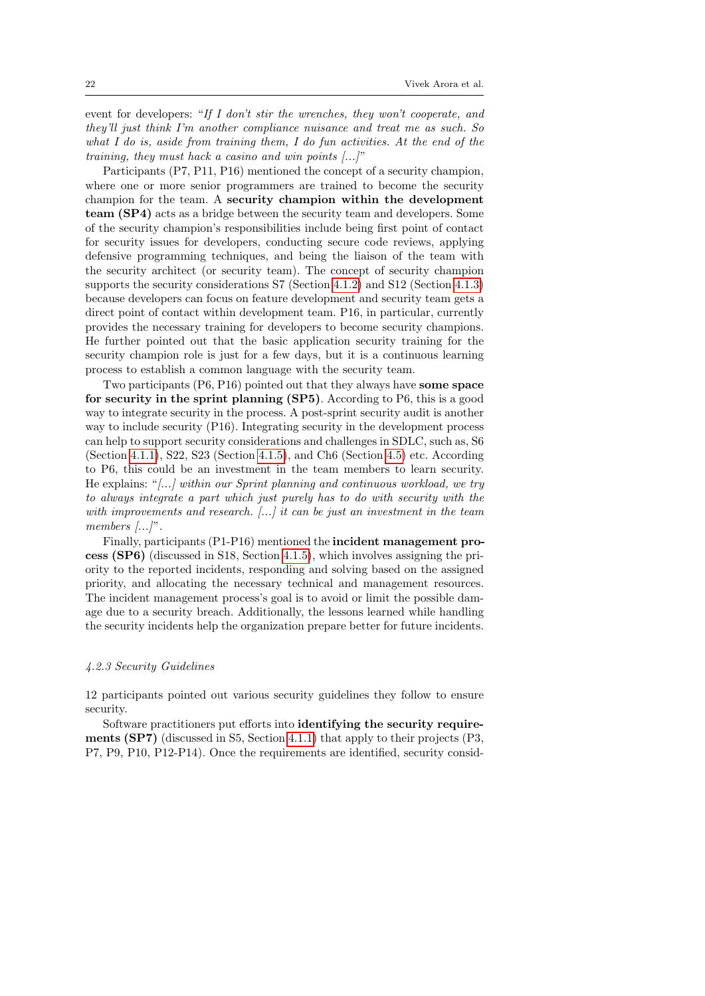event for developers: "If I don't stir the wrenches, they won't cooperate, and they'll just think I'm another compliance nuisance and treat me as such. So what I do is, aside from training them, I do fun activities. At the end of the training, they must hack a casino and win points [...]"

Participants (P7, P11, P16) mentioned the concept of a security champion, where one or more senior programmers are trained to become the security champion for the team. A security champion within the development team (SP4) acts as a bridge between the security team and developers. Some of the security champion's responsibilities include being first point of contact for security issues for developers, conducting secure code reviews, applying defensive programming techniques, and being the liaison of the team with the security architect (or security team). The concept of security champion supports the security considerations S7 (Section [4.1.2\)](#page-13-1) and S12 (Section [4.1.3\)](#page-14-1) because developers can focus on feature development and security team gets a direct point of contact within development team. P16, in particular, currently provides the necessary training for developers to become security champions. He further pointed out that the basic application security training for the security champion role is just for a few days, but it is a continuous learning process to establish a common language with the security team.

Two participants (P6, P16) pointed out that they always have some space for security in the sprint planning (SP5). According to P6, this is a good way to integrate security in the process. A post-sprint security audit is another way to include security (P16). Integrating security in the development process can help to support security considerations and challenges in SDLC, such as, S6 (Section [4.1.1\)](#page-12-0), S22, S23 (Section [4.1.5\)](#page-16-0), and Ch6 (Section [4.5\)](#page-31-0) etc. According to P6, this could be an investment in the team members to learn security. He explains: " $\ldots$  within our Sprint planning and continuous workload, we try to always integrate a part which just purely has to do with security with the with improvements and research. [...] it can be just an investment in the team members [...]".

Finally, participants (P1-P16) mentioned the incident management process (SP6) (discussed in S18, Section [4.1.5\)](#page-16-0), which involves assigning the priority to the reported incidents, responding and solving based on the assigned priority, and allocating the necessary technical and management resources. The incident management process's goal is to avoid or limit the possible damage due to a security breach. Additionally, the lessons learned while handling the security incidents help the organization prepare better for future incidents.

### <span id="page-21-0"></span>4.2.3 Security Guidelines

12 participants pointed out various security guidelines they follow to ensure security.

Software practitioners put efforts into identifying the security requirements (SP7) (discussed in S5, Section [4.1.1\)](#page-12-0) that apply to their projects (P3, P7, P9, P10, P12-P14). Once the requirements are identified, security consid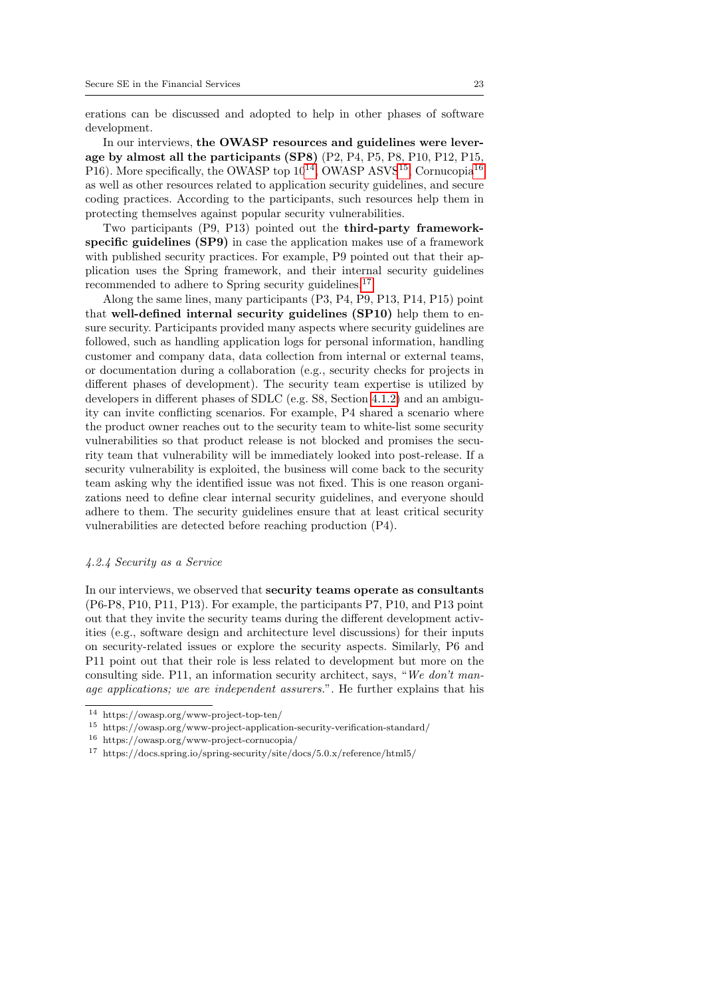erations can be discussed and adopted to help in other phases of software development.

In our interviews, the OWASP resources and guidelines were leverage by almost all the participants (SP8) (P2, P4, P5, P8, P10, P12, P15, P[16](#page-22-2)). More specifically, the OWASP top  $10^{14}$  $10^{14}$  $10^{14}$ , OWASP ASVS<sup>[15](#page-22-1)</sup>, Cornucopia<sup>16</sup> as well as other resources related to application security guidelines, and secure coding practices. According to the participants, such resources help them in protecting themselves against popular security vulnerabilities.

Two participants (P9, P13) pointed out the third-party frameworkspecific guidelines (SP9) in case the application makes use of a framework with published security practices. For example, P9 pointed out that their application uses the Spring framework, and their internal security guidelines recommended to adhere to Spring security guidelines.<sup>[17](#page-22-3)</sup>

Along the same lines, many participants (P3, P4, P9, P13, P14, P15) point that well-defined internal security guidelines (SP10) help them to ensure security. Participants provided many aspects where security guidelines are followed, such as handling application logs for personal information, handling customer and company data, data collection from internal or external teams, or documentation during a collaboration (e.g., security checks for projects in different phases of development). The security team expertise is utilized by developers in different phases of SDLC (e.g. S8, Section [4.1.2\)](#page-13-1) and an ambiguity can invite conflicting scenarios. For example, P4 shared a scenario where the product owner reaches out to the security team to white-list some security vulnerabilities so that product release is not blocked and promises the security team that vulnerability will be immediately looked into post-release. If a security vulnerability is exploited, the business will come back to the security team asking why the identified issue was not fixed. This is one reason organizations need to define clear internal security guidelines, and everyone should adhere to them. The security guidelines ensure that at least critical security vulnerabilities are detected before reaching production (P4).

## <span id="page-22-4"></span>4.2.4 Security as a Service

In our interviews, we observed that security teams operate as consultants (P6-P8, P10, P11, P13). For example, the participants P7, P10, and P13 point out that they invite the security teams during the different development activities (e.g., software design and architecture level discussions) for their inputs on security-related issues or explore the security aspects. Similarly, P6 and P11 point out that their role is less related to development but more on the consulting side. P11, an information security architect, says, "We don't manage applications; we are independent assurers.". He further explains that his

<span id="page-22-0"></span><sup>14</sup> https://owasp.org/www-project-top-ten/

<span id="page-22-1"></span><sup>15</sup> https://owasp.org/www-project-application-security-verification-standard/

<span id="page-22-2"></span><sup>16</sup> https://owasp.org/www-project-cornucopia/

<span id="page-22-3"></span><sup>17</sup> https://docs.spring.io/spring-security/site/docs/5.0.x/reference/html5/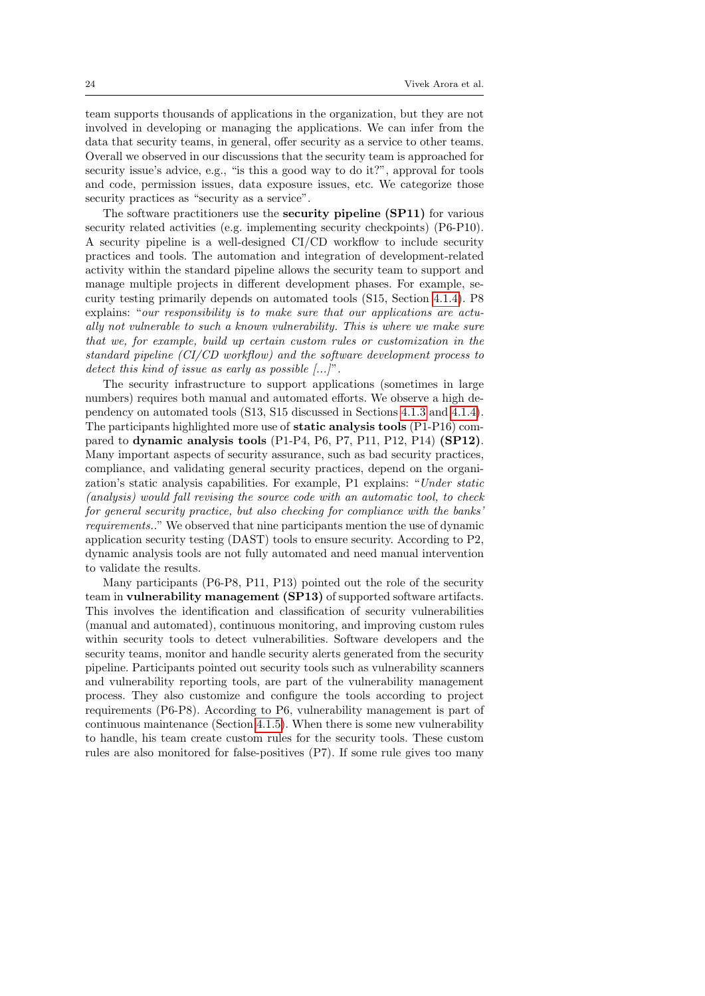team supports thousands of applications in the organization, but they are not involved in developing or managing the applications. We can infer from the data that security teams, in general, offer security as a service to other teams. Overall we observed in our discussions that the security team is approached for security issue's advice, e.g., "is this a good way to do it?", approval for tools and code, permission issues, data exposure issues, etc. We categorize those security practices as "security as a service".

The software practitioners use the security pipeline (SP11) for various security related activities (e.g. implementing security checkpoints) (P6-P10). A security pipeline is a well-designed CI/CD workflow to include security practices and tools. The automation and integration of development-related activity within the standard pipeline allows the security team to support and manage multiple projects in different development phases. For example, security testing primarily depends on automated tools (S15, Section [4.1.4\)](#page-15-0). P8 explains: "our responsibility is to make sure that our applications are actually not vulnerable to such a known vulnerability. This is where we make sure that we, for example, build up certain custom rules or customization in the standard pipeline (CI/CD workflow) and the software development process to detect this kind of issue as early as possible  $[...]$ .

The security infrastructure to support applications (sometimes in large numbers) requires both manual and automated efforts. We observe a high dependency on automated tools (S13, S15 discussed in Sections [4.1.3](#page-14-1) and [4.1.4\)](#page-15-0). The participants highlighted more use of static analysis tools (P1-P16) compared to dynamic analysis tools (P1-P4, P6, P7, P11, P12, P14) (SP12). Many important aspects of security assurance, such as bad security practices, compliance, and validating general security practices, depend on the organization's static analysis capabilities. For example, P1 explains: "Under static (analysis) would fall revising the source code with an automatic tool, to check for general security practice, but also checking for compliance with the banks' requirements.." We observed that nine participants mention the use of dynamic application security testing (DAST) tools to ensure security. According to P2, dynamic analysis tools are not fully automated and need manual intervention to validate the results.

Many participants (P6-P8, P11, P13) pointed out the role of the security team in vulnerability management (SP13) of supported software artifacts. This involves the identification and classification of security vulnerabilities (manual and automated), continuous monitoring, and improving custom rules within security tools to detect vulnerabilities. Software developers and the security teams, monitor and handle security alerts generated from the security pipeline. Participants pointed out security tools such as vulnerability scanners and vulnerability reporting tools, are part of the vulnerability management process. They also customize and configure the tools according to project requirements (P6-P8). According to P6, vulnerability management is part of continuous maintenance (Section [4.1.5\)](#page-16-0). When there is some new vulnerability to handle, his team create custom rules for the security tools. These custom rules are also monitored for false-positives (P7). If some rule gives too many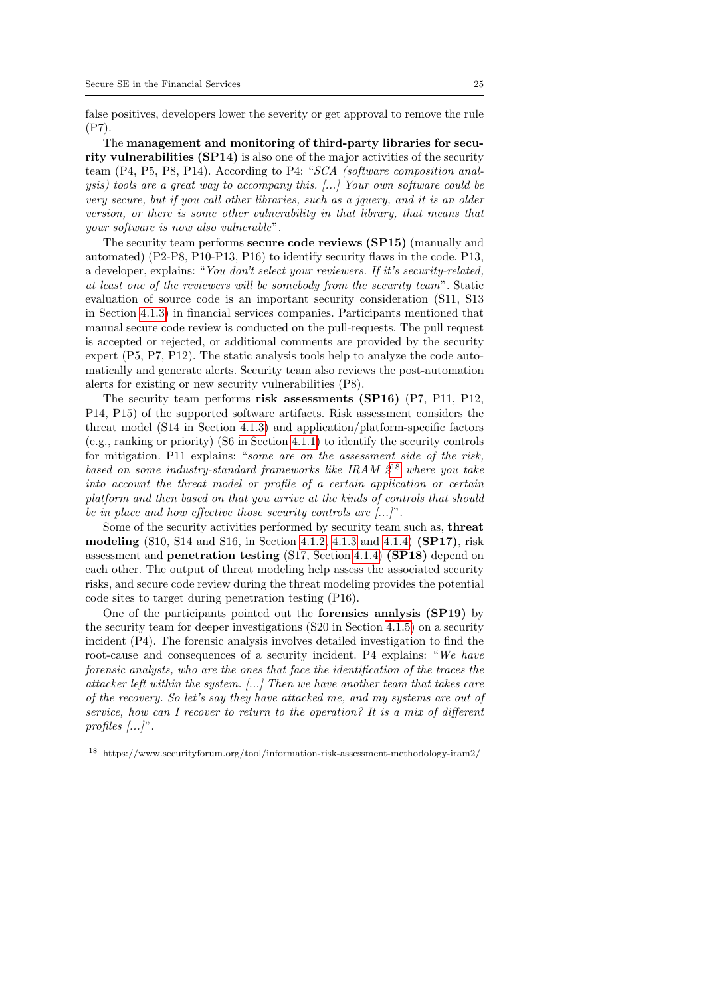false positives, developers lower the severity or get approval to remove the rule (P7).

The management and monitoring of third-party libraries for security vulnerabilities (SP14) is also one of the major activities of the security team (P4, P5, P8, P14). According to P4: "SCA (software composition analysis) tools are a great way to accompany this. [...] Your own software could be very secure, but if you call other libraries, such as a jquery, and it is an older version, or there is some other vulnerability in that library, that means that your software is now also vulnerable".

The security team performs secure code reviews (SP15) (manually and automated) (P2-P8, P10-P13, P16) to identify security flaws in the code. P13, a developer, explains: "You don't select your reviewers. If it's security-related, at least one of the reviewers will be somebody from the security team". Static evaluation of source code is an important security consideration (S11, S13 in Section [4.1.3\)](#page-14-1) in financial services companies. Participants mentioned that manual secure code review is conducted on the pull-requests. The pull request is accepted or rejected, or additional comments are provided by the security expert (P5, P7, P12). The static analysis tools help to analyze the code automatically and generate alerts. Security team also reviews the post-automation alerts for existing or new security vulnerabilities (P8).

The security team performs risk assessments (SP16) (P7, P11, P12, P14, P15) of the supported software artifacts. Risk assessment considers the threat model (S14 in Section [4.1.3\)](#page-14-1) and application/platform-specific factors (e.g., ranking or priority) (S6 in Section [4.1.1\)](#page-12-0) to identify the security controls for mitigation. P11 explains: "some are on the assessment side of the risk, based on some industry-standard frameworks like IRAM  $2^{18}$  $2^{18}$  $2^{18}$  where you take into account the threat model or profile of a certain application or certain platform and then based on that you arrive at the kinds of controls that should be in place and how effective those security controls are  $[\dots]$ ".

Some of the security activities performed by security team such as, threat modeling  $(S10, S14$  and  $S16$ , in Section [4.1.2,](#page-13-1) [4.1.3](#page-14-1) and [4.1.4\)](#page-15-0)  $(SP17)$ , risk assessment and penetration testing (S17, Section [4.1.4\)](#page-15-0) (SP18) depend on each other. The output of threat modeling help assess the associated security risks, and secure code review during the threat modeling provides the potential code sites to target during penetration testing (P16).

One of the participants pointed out the forensics analysis (SP19) by the security team for deeper investigations (S20 in Section [4.1.5\)](#page-16-0) on a security incident (P4). The forensic analysis involves detailed investigation to find the root-cause and consequences of a security incident. P4 explains: "We have forensic analysts, who are the ones that face the identification of the traces the attacker left within the system. [...] Then we have another team that takes care of the recovery. So let's say they have attacked me, and my systems are out of service, how can I recover to return to the operation? It is a mix of different profiles  $[\ldots]$ ".

<span id="page-24-0"></span> $^{18}\,$  https://www.securityforum.org/tool/information-risk-assessment-methodology-iram2/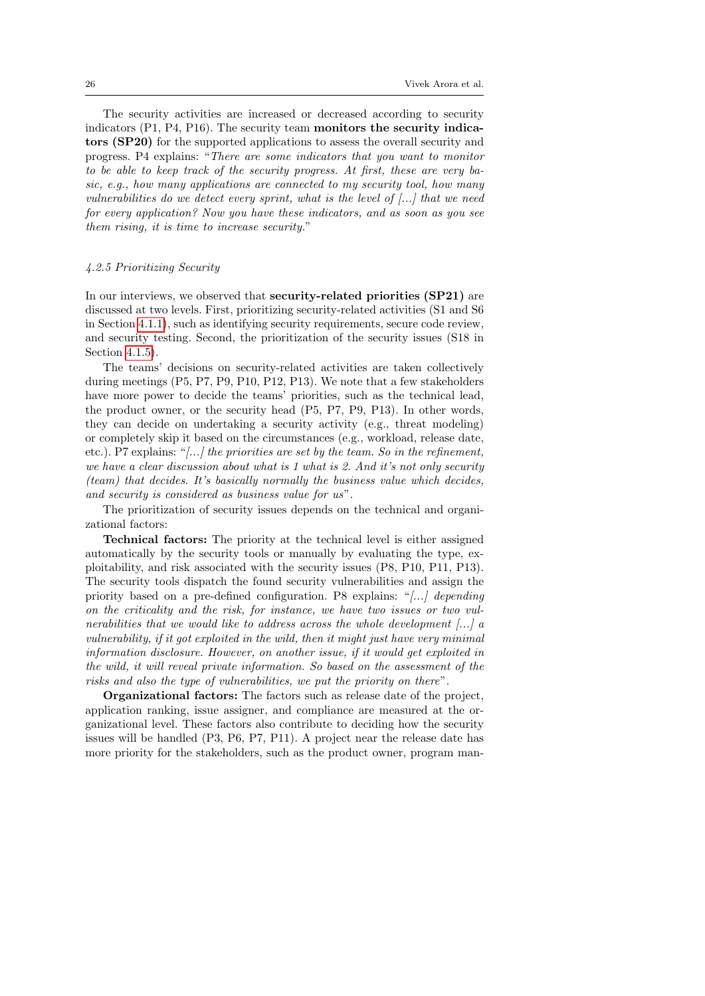The security activities are increased or decreased according to security indicators (P1, P4, P16). The security team monitors the security indicators (SP20) for the supported applications to assess the overall security and progress. P4 explains: "There are some indicators that you want to monitor to be able to keep track of the security progress. At first, these are very basic, e.g., how many applications are connected to my security tool, how many vulnerabilities do we detect every sprint, what is the level of [...] that we need for every application? Now you have these indicators, and as soon as you see them rising, it is time to increase security."

#### 4.2.5 Prioritizing Security

In our interviews, we observed that security-related priorities (SP21) are discussed at two levels. First, prioritizing security-related activities (S1 and S6 in Section [4.1.1\)](#page-12-0), such as identifying security requirements, secure code review, and security testing. Second, the prioritization of the security issues (S18 in Section [4.1.5\)](#page-16-0).

The teams' decisions on security-related activities are taken collectively during meetings (P5, P7, P9, P10, P12, P13). We note that a few stakeholders have more power to decide the teams' priorities, such as the technical lead, the product owner, or the security head (P5, P7, P9, P13). In other words, they can decide on undertaking a security activity (e.g., threat modeling) or completely skip it based on the circumstances (e.g., workload, release date, etc.). P7 explains: "[...] the priorities are set by the team. So in the refinement, we have a clear discussion about what is 1 what is 2. And it's not only security (team) that decides. It's basically normally the business value which decides, and security is considered as business value for us".

The prioritization of security issues depends on the technical and organizational factors:

Technical factors: The priority at the technical level is either assigned automatically by the security tools or manually by evaluating the type, exploitability, and risk associated with the security issues (P8, P10, P11, P13). The security tools dispatch the found security vulnerabilities and assign the priority based on a pre-defined configuration. P8 explains: " $[...]$  depending on the criticality and the risk, for instance, we have two issues or two vulnerabilities that we would like to address across the whole development [...] a vulnerability, if it got exploited in the wild, then it might just have very minimal information disclosure. However, on another issue, if it would get exploited in the wild, it will reveal private information. So based on the assessment of the risks and also the type of vulnerabilities, we put the priority on there".

Organizational factors: The factors such as release date of the project, application ranking, issue assigner, and compliance are measured at the organizational level. These factors also contribute to deciding how the security issues will be handled (P3, P6, P7, P11). A project near the release date has more priority for the stakeholders, such as the product owner, program man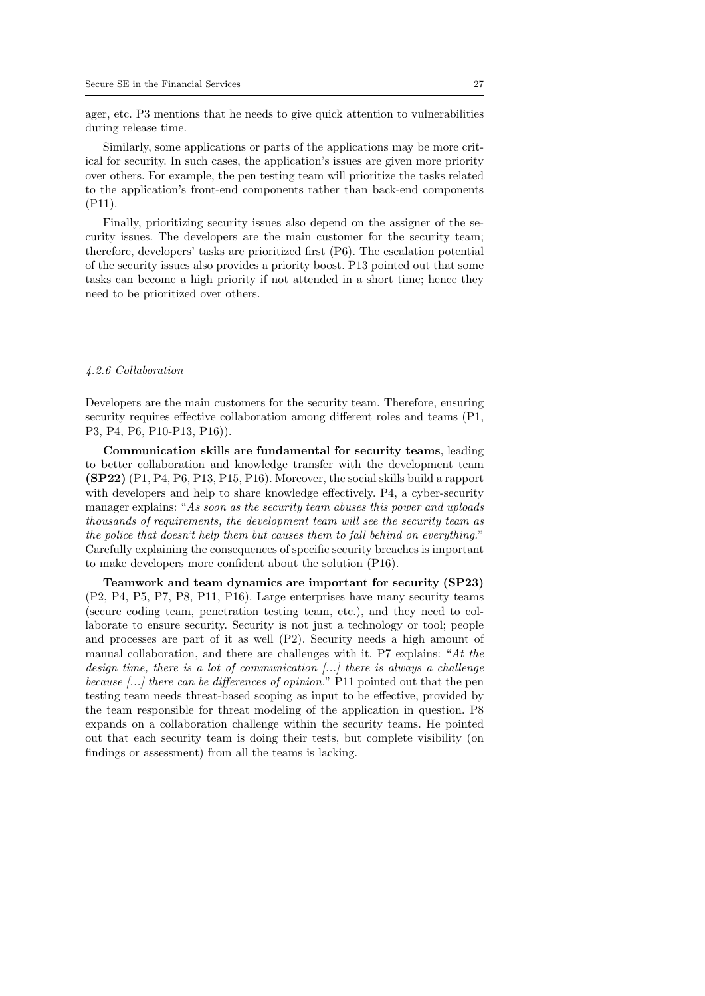ager, etc. P3 mentions that he needs to give quick attention to vulnerabilities during release time.

Similarly, some applications or parts of the applications may be more critical for security. In such cases, the application's issues are given more priority over others. For example, the pen testing team will prioritize the tasks related to the application's front-end components rather than back-end components (P11).

Finally, prioritizing security issues also depend on the assigner of the security issues. The developers are the main customer for the security team; therefore, developers' tasks are prioritized first (P6). The escalation potential of the security issues also provides a priority boost. P13 pointed out that some tasks can become a high priority if not attended in a short time; hence they need to be prioritized over others.

#### <span id="page-26-0"></span>4.2.6 Collaboration

Developers are the main customers for the security team. Therefore, ensuring security requires effective collaboration among different roles and teams (P1, P3, P4, P6, P10-P13, P16)).

Communication skills are fundamental for security teams, leading to better collaboration and knowledge transfer with the development team (SP22) (P1, P4, P6, P13, P15, P16). Moreover, the social skills build a rapport with developers and help to share knowledge effectively. P4, a cyber-security manager explains: "As soon as the security team abuses this power and uploads thousands of requirements, the development team will see the security team as the police that doesn't help them but causes them to fall behind on everything." Carefully explaining the consequences of specific security breaches is important to make developers more confident about the solution (P16).

Teamwork and team dynamics are important for security (SP23) (P2, P4, P5, P7, P8, P11, P16). Large enterprises have many security teams (secure coding team, penetration testing team, etc.), and they need to collaborate to ensure security. Security is not just a technology or tool; people and processes are part of it as well (P2). Security needs a high amount of manual collaboration, and there are challenges with it. P7 explains: "At the design time, there is a lot of communication [...] there is always a challenge because [...] there can be differences of opinion." P11 pointed out that the pen testing team needs threat-based scoping as input to be effective, provided by the team responsible for threat modeling of the application in question. P8 expands on a collaboration challenge within the security teams. He pointed out that each security team is doing their tests, but complete visibility (on findings or assessment) from all the teams is lacking.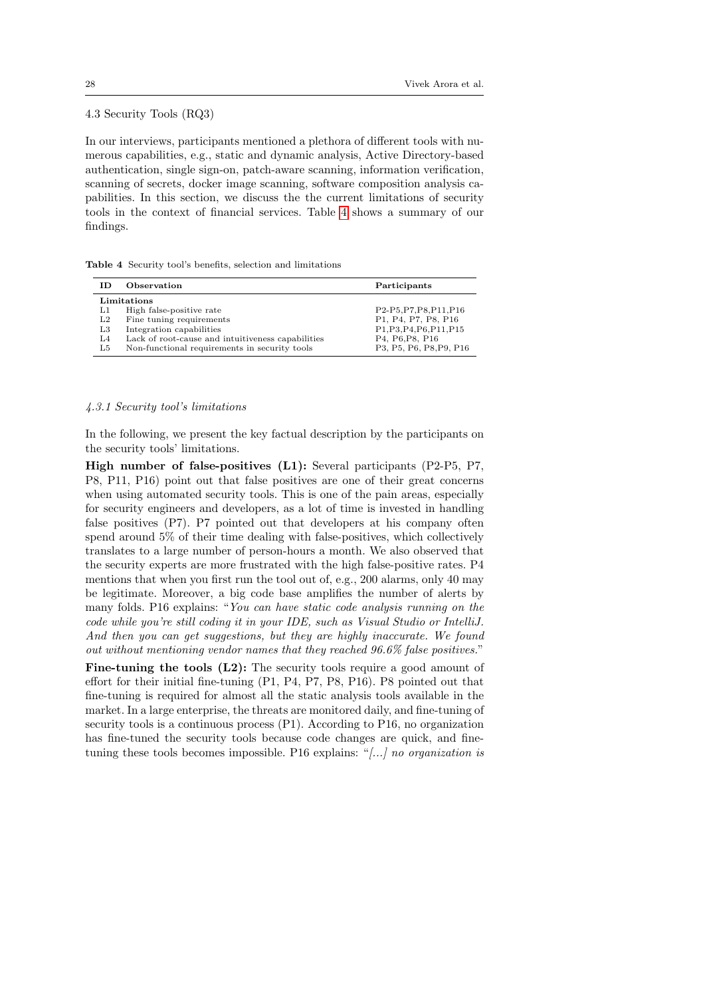## 4.3 Security Tools (RQ3)

In our interviews, participants mentioned a plethora of different tools with numerous capabilities, e.g., static and dynamic analysis, Active Directory-based authentication, single sign-on, patch-aware scanning, information verification, scanning of secrets, docker image scanning, software composition analysis capabilities. In this section, we discuss the the current limitations of security tools in the context of financial services. Table [4](#page-27-0) shows a summary of our findings.

|  |  |  | <b>Table 4</b> Security tool's benefits, selection and limitations |
|--|--|--|--------------------------------------------------------------------|
|  |  |  |                                                                    |

<span id="page-27-0"></span>

| ΙD             | Observation                                       | Participants             |  |  |  |
|----------------|---------------------------------------------------|--------------------------|--|--|--|
| Limitations    |                                                   |                          |  |  |  |
| L1             | High false-positive rate                          | P2-P5, P7, P8, P11, P16  |  |  |  |
| L2             | Fine tuning requirements                          | P1, P4, P7, P8, P16      |  |  |  |
| L3             | Integration capabilities                          | P1, P3, P4, P6, P11, P15 |  |  |  |
| L <sub>4</sub> | Lack of root-cause and intuitiveness capabilities | P4, P6, P8, P16          |  |  |  |
| L5             | Non-functional requirements in security tools     | P3, P5, P6, P8, P9, P16  |  |  |  |

#### <span id="page-27-1"></span>4.3.1 Security tool's limitations

In the following, we present the key factual description by the participants on the security tools' limitations.

High number of false-positives (L1): Several participants (P2-P5, P7, P8, P11, P16) point out that false positives are one of their great concerns when using automated security tools. This is one of the pain areas, especially for security engineers and developers, as a lot of time is invested in handling false positives (P7). P7 pointed out that developers at his company often spend around 5% of their time dealing with false-positives, which collectively translates to a large number of person-hours a month. We also observed that the security experts are more frustrated with the high false-positive rates. P4 mentions that when you first run the tool out of, e.g., 200 alarms, only 40 may be legitimate. Moreover, a big code base amplifies the number of alerts by many folds. P16 explains: "You can have static code analysis running on the code while you're still coding it in your IDE, such as Visual Studio or IntelliJ. And then you can get suggestions, but they are highly inaccurate. We found out without mentioning vendor names that they reached 96.6% false positives."

Fine-tuning the tools (L2): The security tools require a good amount of effort for their initial fine-tuning (P1, P4, P7, P8, P16). P8 pointed out that fine-tuning is required for almost all the static analysis tools available in the market. In a large enterprise, the threats are monitored daily, and fine-tuning of security tools is a continuous process (P1). According to P16, no organization has fine-tuned the security tools because code changes are quick, and finetuning these tools becomes impossible. P16 explains: "[...] no organization is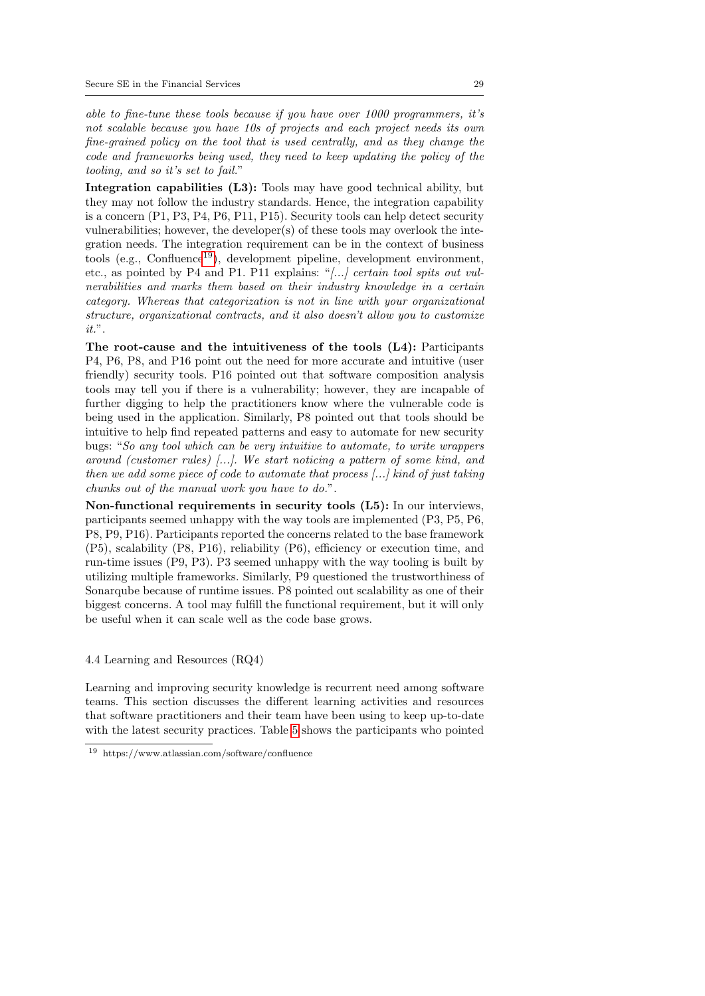able to fine-tune these tools because if you have over 1000 programmers, it's not scalable because you have 10s of projects and each project needs its own fine-grained policy on the tool that is used centrally, and as they change the code and frameworks being used, they need to keep updating the policy of the tooling, and so it's set to fail."

Integration capabilities (L3): Tools may have good technical ability, but they may not follow the industry standards. Hence, the integration capability is a concern (P1, P3, P4, P6, P11, P15). Security tools can help detect security vulnerabilities; however, the developer(s) of these tools may overlook the integration needs. The integration requirement can be in the context of business tools (e.g., Confluence<sup>[19](#page-28-0)</sup>), development pipeline, development environment, etc., as pointed by P4 and P1. P11 explains: "[...] certain tool spits out vulnerabilities and marks them based on their industry knowledge in a certain category. Whereas that categorization is not in line with your organizational structure, organizational contracts, and it also doesn't allow you to customize it.".

The root-cause and the intuitiveness of the tools (L4): Participants P4, P6, P8, and P16 point out the need for more accurate and intuitive (user friendly) security tools. P16 pointed out that software composition analysis tools may tell you if there is a vulnerability; however, they are incapable of further digging to help the practitioners know where the vulnerable code is being used in the application. Similarly, P8 pointed out that tools should be intuitive to help find repeated patterns and easy to automate for new security bugs: "So any tool which can be very intuitive to automate, to write wrappers around (customer rules) [...]. We start noticing a pattern of some kind, and then we add some piece of code to automate that process [...] kind of just taking chunks out of the manual work you have to do.".

Non-functional requirements in security tools (L5): In our interviews, participants seemed unhappy with the way tools are implemented (P3, P5, P6, P8, P9, P16). Participants reported the concerns related to the base framework (P5), scalability (P8, P16), reliability (P6), efficiency or execution time, and run-time issues (P9, P3). P3 seemed unhappy with the way tooling is built by utilizing multiple frameworks. Similarly, P9 questioned the trustworthiness of Sonarqube because of runtime issues. P8 pointed out scalability as one of their biggest concerns. A tool may fulfill the functional requirement, but it will only be useful when it can scale well as the code base grows.

## <span id="page-28-1"></span>4.4 Learning and Resources (RQ4)

Learning and improving security knowledge is recurrent need among software teams. This section discusses the different learning activities and resources that software practitioners and their team have been using to keep up-to-date with the latest security practices. Table [5](#page-29-0) shows the participants who pointed

<span id="page-28-0"></span><sup>19</sup> https://www.atlassian.com/software/confluence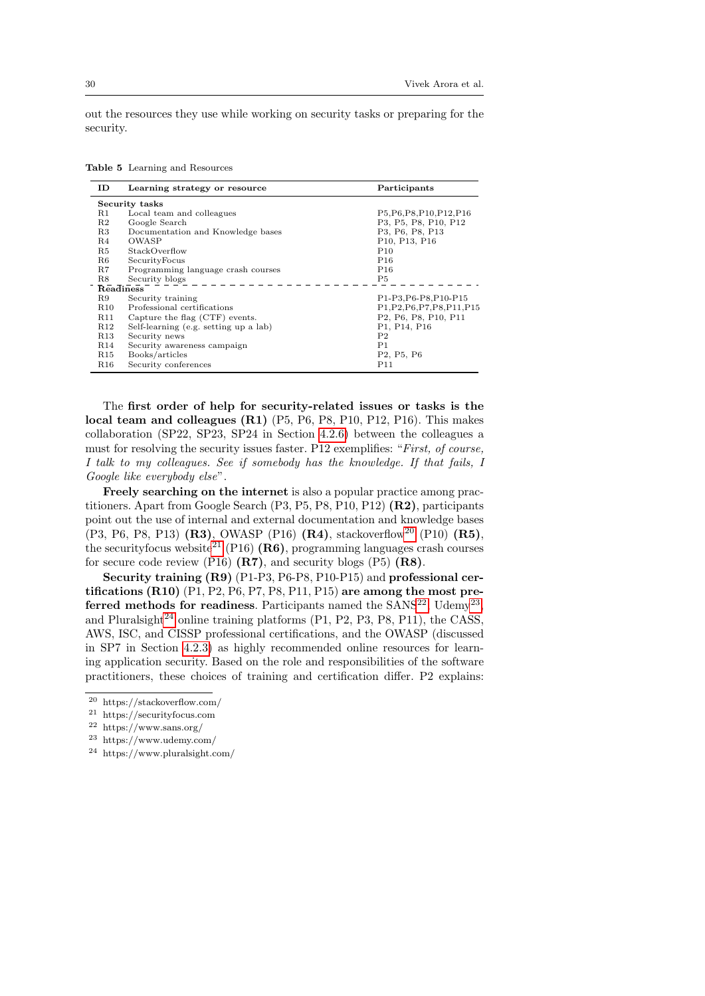out the resources they use while working on security tasks or preparing for the security.

|  |  |  |  | <b>Table 5</b> Learning and Resources |
|--|--|--|--|---------------------------------------|
|--|--|--|--|---------------------------------------|

<span id="page-29-0"></span>

| ID               | Learning strategy or resource         | Participants                                     |  |  |
|------------------|---------------------------------------|--------------------------------------------------|--|--|
| Security tasks   |                                       |                                                  |  |  |
| $_{\rm R1}$      | Local team and colleagues             | P5, P6, P8, P10, P12, P16                        |  |  |
| R <sub>2</sub>   | Google Search                         | P3, P5, P8, P10, P12                             |  |  |
| R3               | Documentation and Knowledge bases     | P3, P6, P8, P13                                  |  |  |
| R4               | OWASP                                 | P10, P13, P16                                    |  |  |
| R5               | StackOverflow                         | P <sub>10</sub>                                  |  |  |
| R6               | SecurityFocus                         | P <sub>16</sub>                                  |  |  |
| R7               | Programming language crash courses    | P <sub>16</sub>                                  |  |  |
| R8               | Security blogs                        | P5                                               |  |  |
| <b>Readiness</b> |                                       |                                                  |  |  |
| R9               | Security training                     | P1-P3, P6-P8, P10-P15                            |  |  |
| <b>R10</b>       | Professional certifications           | P1, P2, P6, P7, P8, P11, P15                     |  |  |
| <b>R11</b>       | Capture the flag (CTF) events.        | P2, P6, P8, P10, P11                             |  |  |
| R <sub>12</sub>  | Self-learning (e.g. setting up a lab) | P1, P14, P16                                     |  |  |
| <b>R13</b>       | Security news                         | P <sub>2</sub>                                   |  |  |
| <b>R14</b>       | Security awareness campaign           | P1                                               |  |  |
| R <sub>15</sub>  | Books/articles                        | P <sub>2</sub> , P <sub>5</sub> , P <sub>6</sub> |  |  |
| <b>R16</b>       | Security conferences                  | P11                                              |  |  |

The first order of help for security-related issues or tasks is the local team and colleagues (R1) (P5, P6, P8, P10, P12, P16). This makes collaboration (SP22, SP23, SP24 in Section [4.2.6\)](#page-26-0) between the colleagues a must for resolving the security issues faster. P12 exemplifies: "First, of course, I talk to my colleagues. See if somebody has the knowledge. If that fails, I Google like everybody else".

Freely searching on the internet is also a popular practice among practitioners. Apart from Google Search (P3, P5, P8, P10, P12) (R2), participants point out the use of internal and external documentation and knowledge bases (P3, P6, P8, P13) (R3), OWASP (P16) (R4), stackoverflow<sup>[20](#page-29-1)</sup> (P10) (R5), the securityfocus website<sup>[21](#page-29-2)</sup> (P16) (R6), programming languages crash courses for secure code review (P16)  $(R7)$ , and security blogs (P5)  $(R8)$ .

Security training (R9) (P1-P3, P6-P8, P10-P15) and professional certifications  $(R10)$   $(P1, P2, P6, P7, P8, P11, P15)$  are among the most preferred methods for readiness. Participants named the  $SANS^{22}$  $SANS^{22}$  $SANS^{22}$ , Udemy<sup>[23](#page-29-4)</sup>, and Pluralsight<sup>[24](#page-29-5)</sup> online training platforms  $(P1, P2, P3, P8, P11)$ , the CASS, AWS, ISC, and CISSP professional certifications, and the OWASP (discussed in SP7 in Section [4.2.3\)](#page-21-0) as highly recommended online resources for learning application security. Based on the role and responsibilities of the software practitioners, these choices of training and certification differ. P2 explains:

<span id="page-29-1"></span><sup>20</sup> https://stackoverflow.com/

<span id="page-29-2"></span><sup>21</sup> https://securityfocus.com

<span id="page-29-3"></span><sup>22</sup> https://www.sans.org/

<span id="page-29-4"></span><sup>23</sup> https://www.udemy.com/

<span id="page-29-5"></span><sup>24</sup> https://www.pluralsight.com/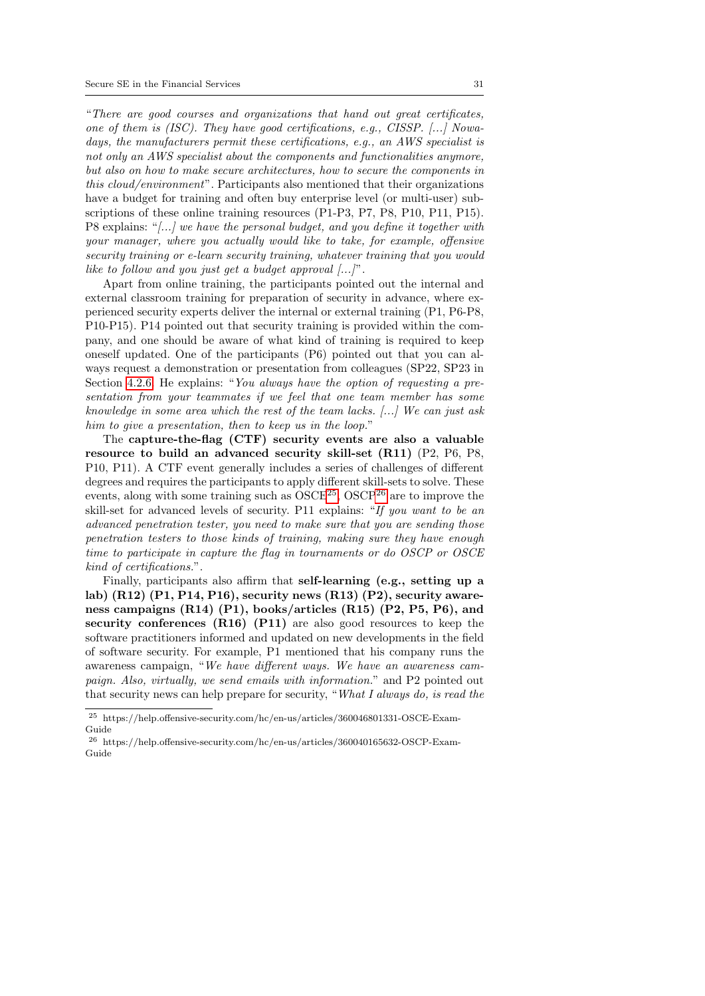"There are good courses and organizations that hand out great certificates, one of them is  $(ISC)$ . They have good certifications, e.g.,  $CISSP$ . [...] Nowadays, the manufacturers permit these certifications, e.g., an AWS specialist is not only an AWS specialist about the components and functionalities anymore, but also on how to make secure architectures, how to secure the components in this cloud/environment". Participants also mentioned that their organizations have a budget for training and often buy enterprise level (or multi-user) subscriptions of these online training resources (P1-P3, P7, P8, P10, P11, P15). P8 explains: "[...] we have the personal budget, and you define it together with your manager, where you actually would like to take, for example, offensive security training or e-learn security training, whatever training that you would like to follow and you just get a budget approval  $[...]$ ".

Apart from online training, the participants pointed out the internal and external classroom training for preparation of security in advance, where experienced security experts deliver the internal or external training (P1, P6-P8, P10-P15). P14 pointed out that security training is provided within the company, and one should be aware of what kind of training is required to keep oneself updated. One of the participants (P6) pointed out that you can always request a demonstration or presentation from colleagues (SP22, SP23 in Section [4.2.6.](#page-26-0) He explains: "You always have the option of requesting a presentation from your teammates if we feel that one team member has some knowledge in some area which the rest of the team lacks. [...] We can just ask him to give a presentation, then to keep us in the loop."

The capture-the-flag (CTF) security events are also a valuable resource to build an advanced security skill-set (R11) (P2, P6, P8, P10, P11). A CTF event generally includes a series of challenges of different degrees and requires the participants to apply different skill-sets to solve. These events, along with some training such as  $OSCE^{25}$  $OSCE^{25}$  $OSCE^{25}$ ,  $OSCP^{26}$  $OSCP^{26}$  $OSCP^{26}$  are to improve the skill-set for advanced levels of security. P11 explains: "If you want to be an advanced penetration tester, you need to make sure that you are sending those penetration testers to those kinds of training, making sure they have enough time to participate in capture the flag in tournaments or do OSCP or OSCE kind of certifications.".

Finally, participants also affirm that self-learning (e.g., setting up a lab) (R12) (P1, P14, P16), security news (R13) (P2), security awareness campaigns (R14) (P1), books/articles (R15) (P2, P5, P6), and security conferences (R16) (P11) are also good resources to keep the software practitioners informed and updated on new developments in the field of software security. For example, P1 mentioned that his company runs the awareness campaign, "We have different ways. We have an awareness campaign. Also, virtually, we send emails with information." and P2 pointed out that security news can help prepare for security, "What I always do, is read the

<span id="page-30-0"></span><sup>25</sup> https://help.offensive-security.com/hc/en-us/articles/360046801331-OSCE-Exam-Guide

<span id="page-30-1"></span> $^{26}$ https://help.offensive-security.com/hc/en-us/articles/360040165632-OSCP-Exam-Guide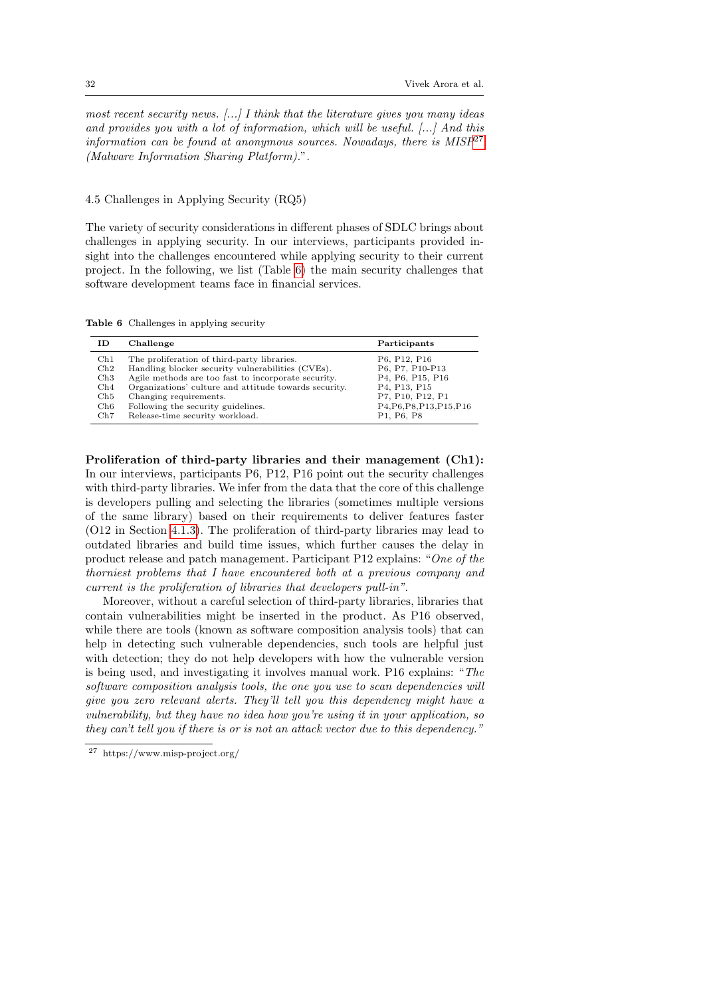most recent security news.  $[\ldots]$  I think that the literature gives you many ideas and provides you with a lot of information, which will be useful.  $[\ldots]$  And this information can be found at anonymous sources. Nowadays, there is  $MISP^{27}$  $MISP^{27}$  $MISP^{27}$ (Malware Information Sharing Platform).".

## <span id="page-31-0"></span>4.5 Challenges in Applying Security (RQ5)

The variety of security considerations in different phases of SDLC brings about challenges in applying security. In our interviews, participants provided insight into the challenges encountered while applying security to their current project. In the following, we list (Table [6\)](#page-31-2) the main security challenges that software development teams face in financial services.

Table 6 Challenges in applying security

<span id="page-31-2"></span>

| ΙD             | Challenge                                             | Participants              |
|----------------|-------------------------------------------------------|---------------------------|
| $\mathrm{Ch}1$ | The proliferation of third-party libraries.           | P6, P12, P16              |
| $\mathrm{Ch}2$ | Handling blocker security vulnerabilities (CVEs).     | P6, P7, P10-P13           |
| Ch3            | Agile methods are too fast to incorporate security.   | P4, P6, P15, P16          |
| $\rm Ch4$      | Organizations' culture and attitude towards security. | P4, P13, P15              |
| $\mathrm{Ch5}$ | Changing requirements.                                | P7, P10, P12, P1          |
| Ch6            | Following the security guidelines.                    | P4, P6, P8, P13, P15, P16 |
| $\rm Ch7$      | Release-time security workload.                       | P1, P6, P8                |

Proliferation of third-party libraries and their management (Ch1): In our interviews, participants P6, P12, P16 point out the security challenges with third-party libraries. We infer from the data that the core of this challenge is developers pulling and selecting the libraries (sometimes multiple versions of the same library) based on their requirements to deliver features faster (O12 in Section [4.1.3\)](#page-14-1). The proliferation of third-party libraries may lead to outdated libraries and build time issues, which further causes the delay in product release and patch management. Participant P12 explains: "One of the thorniest problems that I have encountered both at a previous company and current is the proliferation of libraries that developers pull-in".

Moreover, without a careful selection of third-party libraries, libraries that contain vulnerabilities might be inserted in the product. As P16 observed, while there are tools (known as software composition analysis tools) that can help in detecting such vulnerable dependencies, such tools are helpful just with detection; they do not help developers with how the vulnerable version is being used, and investigating it involves manual work. P16 explains: "The software composition analysis tools, the one you use to scan dependencies will give you zero relevant alerts. They'll tell you this dependency might have a vulnerability, but they have no idea how you're using it in your application, so they can't tell you if there is or is not an attack vector due to this dependency."

<span id="page-31-1"></span><sup>27</sup> https://www.misp-project.org/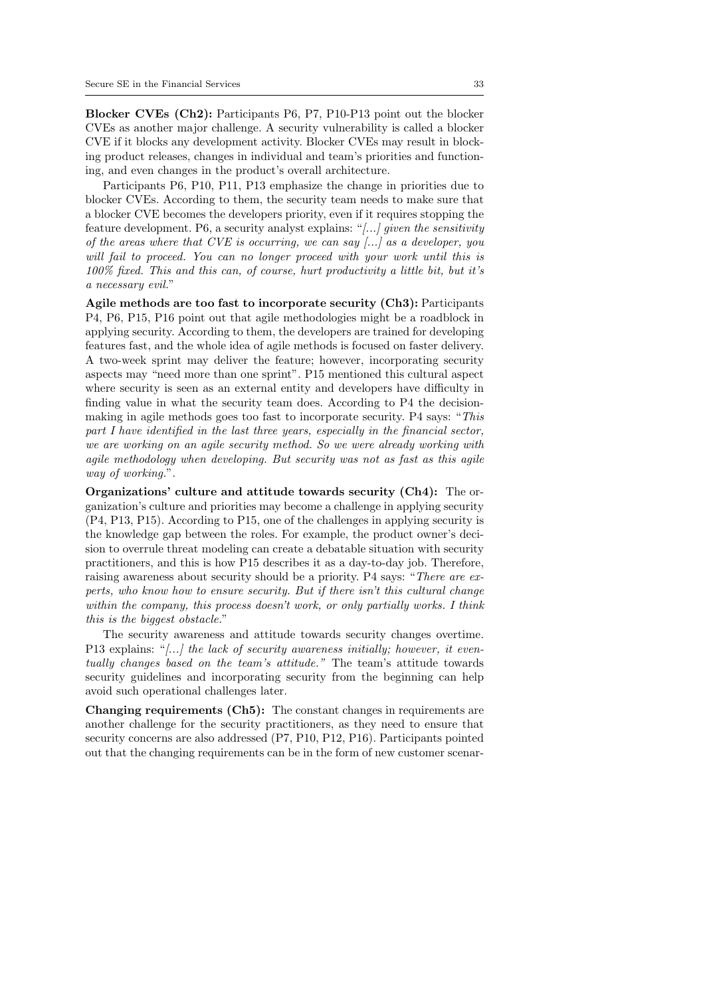Blocker CVEs (Ch2): Participants P6, P7, P10-P13 point out the blocker CVEs as another major challenge. A security vulnerability is called a blocker CVE if it blocks any development activity. Blocker CVEs may result in blocking product releases, changes in individual and team's priorities and functioning, and even changes in the product's overall architecture.

Participants P6, P10, P11, P13 emphasize the change in priorities due to blocker CVEs. According to them, the security team needs to make sure that a blocker CVE becomes the developers priority, even if it requires stopping the feature development. P6, a security analyst explains: " $[...]$  given the sensitivity of the areas where that CVE is occurring, we can say  $\left[\ldots\right]$  as a developer, you will fail to proceed. You can no longer proceed with your work until this is 100% fixed. This and this can, of course, hurt productivity a little bit, but it's a necessary evil."

<span id="page-32-0"></span>Agile methods are too fast to incorporate security (Ch3): Participants P4, P6, P15, P16 point out that agile methodologies might be a roadblock in applying security. According to them, the developers are trained for developing features fast, and the whole idea of agile methods is focused on faster delivery. A two-week sprint may deliver the feature; however, incorporating security aspects may "need more than one sprint". P15 mentioned this cultural aspect where security is seen as an external entity and developers have difficulty in finding value in what the security team does. According to P4 the decisionmaking in agile methods goes too fast to incorporate security. P4 says: "This part I have identified in the last three years, especially in the financial sector, we are working on an agile security method. So we were already working with agile methodology when developing. But security was not as fast as this agile way of working.".

Organizations' culture and attitude towards security (Ch4): The organization's culture and priorities may become a challenge in applying security (P4, P13, P15). According to P15, one of the challenges in applying security is the knowledge gap between the roles. For example, the product owner's decision to overrule threat modeling can create a debatable situation with security practitioners, and this is how P15 describes it as a day-to-day job. Therefore, raising awareness about security should be a priority. P4 says: "There are experts, who know how to ensure security. But if there isn't this cultural change within the company, this process doesn't work, or only partially works. I think this is the biggest obstacle."

The security awareness and attitude towards security changes overtime. P13 explains: "[...] the lack of security awareness initially; however, it eventually changes based on the team's attitude." The team's attitude towards security guidelines and incorporating security from the beginning can help avoid such operational challenges later.

Changing requirements (Ch5): The constant changes in requirements are another challenge for the security practitioners, as they need to ensure that security concerns are also addressed (P7, P10, P12, P16). Participants pointed out that the changing requirements can be in the form of new customer scenar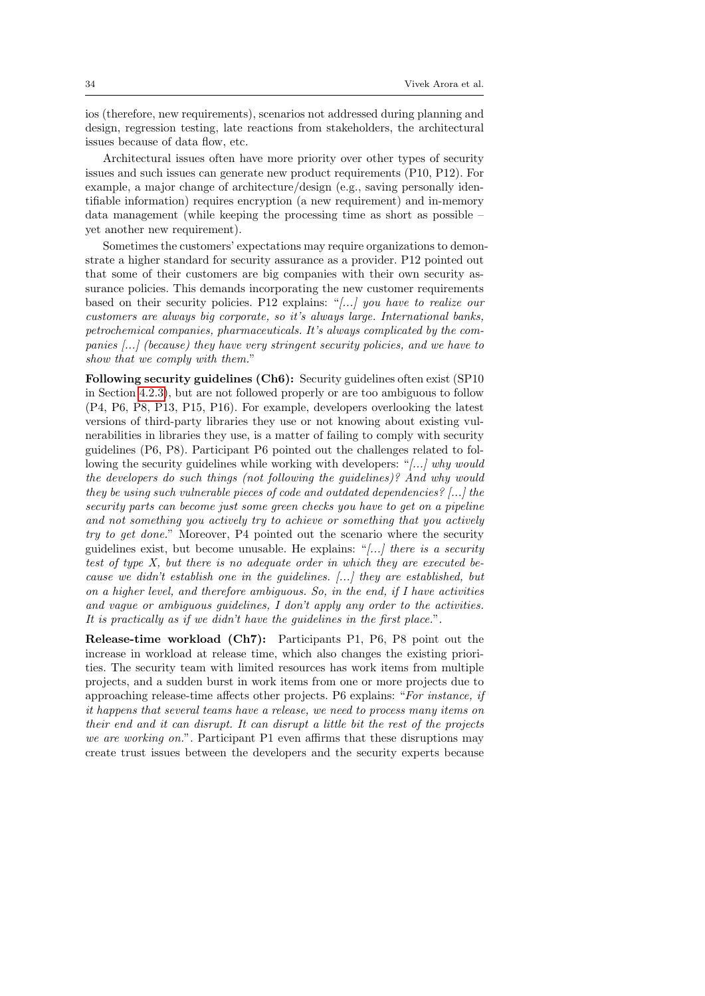ios (therefore, new requirements), scenarios not addressed during planning and design, regression testing, late reactions from stakeholders, the architectural issues because of data flow, etc.

Architectural issues often have more priority over other types of security issues and such issues can generate new product requirements (P10, P12). For example, a major change of architecture/design (e.g., saving personally identifiable information) requires encryption (a new requirement) and in-memory data management (while keeping the processing time as short as possible – yet another new requirement).

Sometimes the customers' expectations may require organizations to demonstrate a higher standard for security assurance as a provider. P12 pointed out that some of their customers are big companies with their own security assurance policies. This demands incorporating the new customer requirements based on their security policies. P12 explains: "[...] you have to realize our customers are always big corporate, so it's always large. International banks, petrochemical companies, pharmaceuticals. It's always complicated by the companies [...] (because) they have very stringent security policies, and we have to show that we comply with them."

Following security guidelines (Ch6): Security guidelines often exist (SP10 in Section [4.2.3\)](#page-21-0), but are not followed properly or are too ambiguous to follow (P4, P6, P8, P13, P15, P16). For example, developers overlooking the latest versions of third-party libraries they use or not knowing about existing vulnerabilities in libraries they use, is a matter of failing to comply with security guidelines (P6, P8). Participant P6 pointed out the challenges related to following the security guidelines while working with developers: "[...] why would the developers do such things (not following the guidelines)? And why would they be using such vulnerable pieces of code and outdated dependencies? [...] the security parts can become just some green checks you have to get on a pipeline and not something you actively try to achieve or something that you actively try to get done." Moreover, P4 pointed out the scenario where the security guidelines exist, but become unusable. He explains: "[...] there is a security test of type X, but there is no adequate order in which they are executed because we didn't establish one in the guidelines. [...] they are established, but on a higher level, and therefore ambiguous. So, in the end, if I have activities and vague or ambiguous guidelines, I don't apply any order to the activities. It is practically as if we didn't have the guidelines in the first place.".

Release-time workload (Ch7): Participants P1, P6, P8 point out the increase in workload at release time, which also changes the existing priorities. The security team with limited resources has work items from multiple projects, and a sudden burst in work items from one or more projects due to approaching release-time affects other projects. P6 explains: "For instance, if it happens that several teams have a release, we need to process many items on their end and it can disrupt. It can disrupt a little bit the rest of the projects we are working on.". Participant P1 even affirms that these disruptions may create trust issues between the developers and the security experts because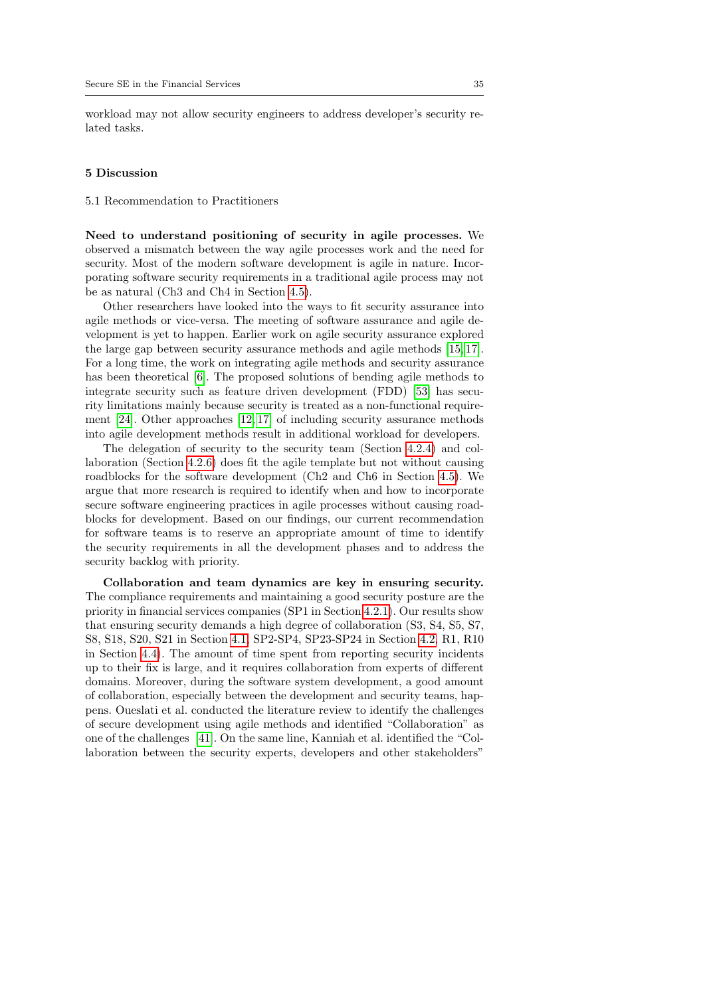workload may not allow security engineers to address developer's security related tasks.

#### 5 Discussion

5.1 Recommendation to Practitioners

Need to understand positioning of security in agile processes. We observed a mismatch between the way agile processes work and the need for security. Most of the modern software development is agile in nature. Incorporating software security requirements in a traditional agile process may not be as natural (Ch3 and Ch4 in Section [4.5\)](#page-31-0).

Other researchers have looked into the ways to fit security assurance into agile methods or vice-versa. The meeting of software assurance and agile development is yet to happen. Earlier work on agile security assurance explored the large gap between security assurance methods and agile methods [\[15,](#page-38-6) [17\]](#page-38-7). For a long time, the work on integrating agile methods and security assurance has been theoretical [\[6\]](#page-38-19). The proposed solutions of bending agile methods to integrate security such as feature driven development (FDD) [\[53\]](#page-40-17) has security limitations mainly because security is treated as a non-functional requirement [\[24\]](#page-39-5). Other approaches [\[12,](#page-38-8) [17\]](#page-38-7) of including security assurance methods into agile development methods result in additional workload for developers.

The delegation of security to the security team (Section [4.2.4\)](#page-22-4) and collaboration (Section [4.2.6\)](#page-26-0) does fit the agile template but not without causing roadblocks for the software development (Ch2 and Ch6 in Section [4.5\)](#page-31-0). We argue that more research is required to identify when and how to incorporate secure software engineering practices in agile processes without causing roadblocks for development. Based on our findings, our current recommendation for software teams is to reserve an appropriate amount of time to identify the security requirements in all the development phases and to address the security backlog with priority.

Collaboration and team dynamics are key in ensuring security. The compliance requirements and maintaining a good security posture are the priority in financial services companies (SP1 in Section [4.2.1\)](#page-19-1). Our results show that ensuring security demands a high degree of collaboration (S3, S4, S5, S7, S8, S18, S20, S21 in Section [4.1,](#page-11-1) SP2-SP4, SP23-SP24 in Section [4.2,](#page-18-0) R1, R10 in Section [4.4\)](#page-28-1). The amount of time spent from reporting security incidents up to their fix is large, and it requires collaboration from experts of different domains. Moreover, during the software system development, a good amount of collaboration, especially between the development and security teams, happens. Oueslati et al. conducted the literature review to identify the challenges of secure development using agile methods and identified "Collaboration" as one of the challenges [\[41\]](#page-39-19). On the same line, Kanniah et al. identified the "Collaboration between the security experts, developers and other stakeholders"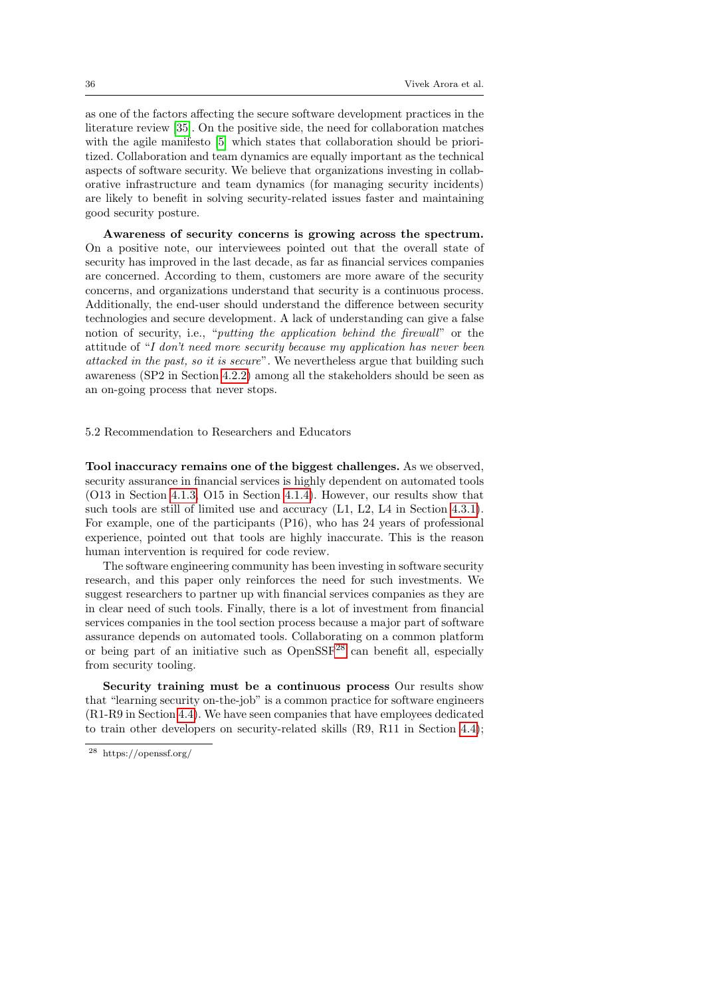as one of the factors affecting the secure software development practices in the literature review [\[35\]](#page-39-20). On the positive side, the need for collaboration matches with the agile manifesto [\[5\]](#page-38-20) which states that collaboration should be prioritized. Collaboration and team dynamics are equally important as the technical aspects of software security. We believe that organizations investing in collaborative infrastructure and team dynamics (for managing security incidents) are likely to benefit in solving security-related issues faster and maintaining good security posture.

Awareness of security concerns is growing across the spectrum. On a positive note, our interviewees pointed out that the overall state of security has improved in the last decade, as far as financial services companies are concerned. According to them, customers are more aware of the security concerns, and organizations understand that security is a continuous process. Additionally, the end-user should understand the difference between security technologies and secure development. A lack of understanding can give a false notion of security, i.e., "*putting the application behind the firewall*" or the attitude of "I don't need more security because my application has never been attacked in the past, so it is secure". We nevertheless argue that building such awareness (SP2 in Section [4.2.2\)](#page-20-2) among all the stakeholders should be seen as an on-going process that never stops.

## 5.2 Recommendation to Researchers and Educators

Tool inaccuracy remains one of the biggest challenges. As we observed, security assurance in financial services is highly dependent on automated tools (O13 in Section [4.1.3,](#page-14-1) O15 in Section [4.1.4\)](#page-15-0). However, our results show that such tools are still of limited use and accuracy (L1, L2, L4 in Section [4.3.1\)](#page-27-1). For example, one of the participants (P16), who has 24 years of professional experience, pointed out that tools are highly inaccurate. This is the reason human intervention is required for code review.

The software engineering community has been investing in software security research, and this paper only reinforces the need for such investments. We suggest researchers to partner up with financial services companies as they are in clear need of such tools. Finally, there is a lot of investment from financial services companies in the tool section process because a major part of software assurance depends on automated tools. Collaborating on a common platform or being part of an initiative such as  $OpenSSF^{28}$  $OpenSSF^{28}$  $OpenSSF^{28}$  can benefit all, especially from security tooling.

Security training must be a continuous process Our results show that "learning security on-the-job" is a common practice for software engineers (R1-R9 in Section [4.4\)](#page-28-1). We have seen companies that have employees dedicated to train other developers on security-related skills (R9, R11 in Section [4.4\)](#page-28-1);

<span id="page-35-0"></span><sup>28</sup> https://openssf.org/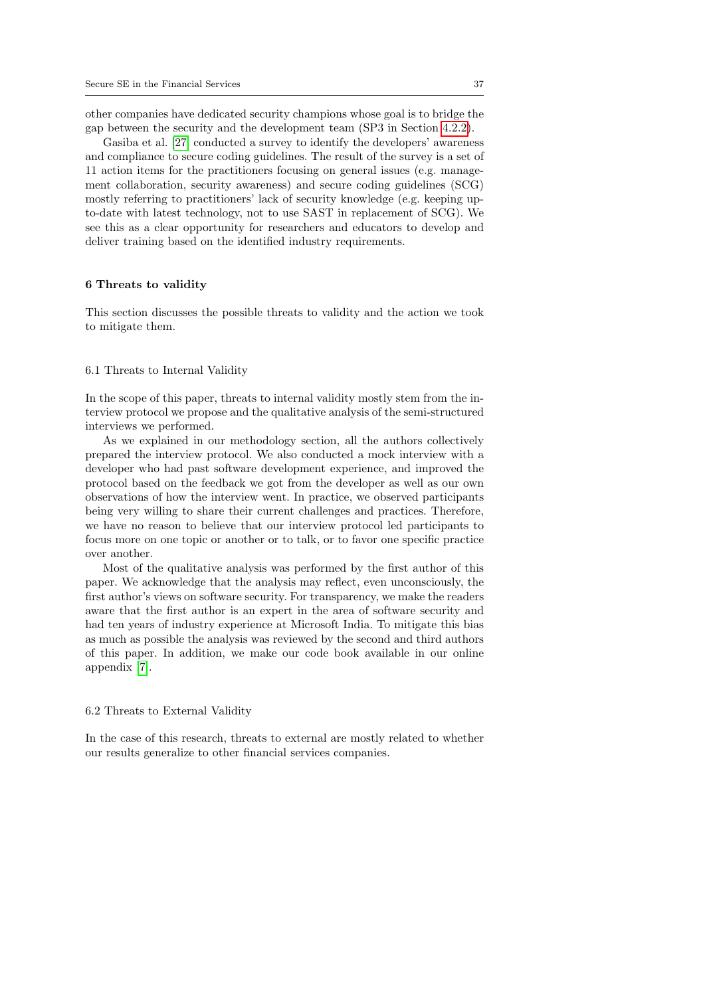other companies have dedicated security champions whose goal is to bridge the gap between the security and the development team (SP3 in Section [4.2.2\)](#page-20-2).

Gasiba et al. [\[27\]](#page-39-21) conducted a survey to identify the developers' awareness and compliance to secure coding guidelines. The result of the survey is a set of 11 action items for the practitioners focusing on general issues (e.g. management collaboration, security awareness) and secure coding guidelines (SCG) mostly referring to practitioners' lack of security knowledge (e.g. keeping upto-date with latest technology, not to use SAST in replacement of SCG). We see this as a clear opportunity for researchers and educators to develop and deliver training based on the identified industry requirements.

#### 6 Threats to validity

This section discusses the possible threats to validity and the action we took to mitigate them.

#### 6.1 Threats to Internal Validity

In the scope of this paper, threats to internal validity mostly stem from the interview protocol we propose and the qualitative analysis of the semi-structured interviews we performed.

As we explained in our methodology section, all the authors collectively prepared the interview protocol. We also conducted a mock interview with a developer who had past software development experience, and improved the protocol based on the feedback we got from the developer as well as our own observations of how the interview went. In practice, we observed participants being very willing to share their current challenges and practices. Therefore, we have no reason to believe that our interview protocol led participants to focus more on one topic or another or to talk, or to favor one specific practice over another.

Most of the qualitative analysis was performed by the first author of this paper. We acknowledge that the analysis may reflect, even unconsciously, the first author's views on software security. For transparency, we make the readers aware that the first author is an expert in the area of software security and had ten years of industry experience at Microsoft India. To mitigate this bias as much as possible the analysis was reviewed by the second and third authors of this paper. In addition, we make our code book available in our online appendix [\[7\]](#page-38-18).

#### 6.2 Threats to External Validity

In the case of this research, threats to external are mostly related to whether our results generalize to other financial services companies.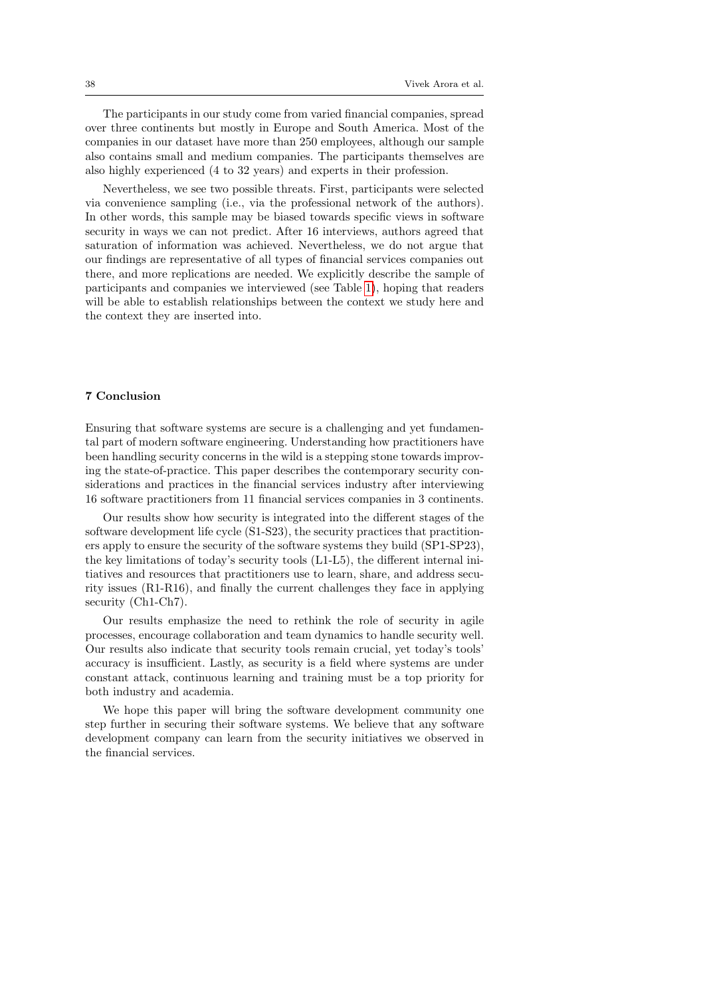The participants in our study come from varied financial companies, spread over three continents but mostly in Europe and South America. Most of the companies in our dataset have more than 250 employees, although our sample also contains small and medium companies. The participants themselves are also highly experienced (4 to 32 years) and experts in their profession.

Nevertheless, we see two possible threats. First, participants were selected via convenience sampling (i.e., via the professional network of the authors). In other words, this sample may be biased towards specific views in software security in ways we can not predict. After 16 interviews, authors agreed that saturation of information was achieved. Nevertheless, we do not argue that our findings are representative of all types of financial services companies out there, and more replications are needed. We explicitly describe the sample of participants and companies we interviewed (see Table [1\)](#page-8-0), hoping that readers will be able to establish relationships between the context we study here and the context they are inserted into.

## 7 Conclusion

Ensuring that software systems are secure is a challenging and yet fundamental part of modern software engineering. Understanding how practitioners have been handling security concerns in the wild is a stepping stone towards improving the state-of-practice. This paper describes the contemporary security considerations and practices in the financial services industry after interviewing 16 software practitioners from 11 financial services companies in 3 continents.

Our results show how security is integrated into the different stages of the software development life cycle (S1-S23), the security practices that practitioners apply to ensure the security of the software systems they build (SP1-SP23), the key limitations of today's security tools (L1-L5), the different internal initiatives and resources that practitioners use to learn, share, and address security issues (R1-R16), and finally the current challenges they face in applying security (Ch1-Ch7).

Our results emphasize the need to rethink the role of security in agile processes, encourage collaboration and team dynamics to handle security well. Our results also indicate that security tools remain crucial, yet today's tools' accuracy is insufficient. Lastly, as security is a field where systems are under constant attack, continuous learning and training must be a top priority for both industry and academia.

We hope this paper will bring the software development community one step further in securing their software systems. We believe that any software development company can learn from the security initiatives we observed in the financial services.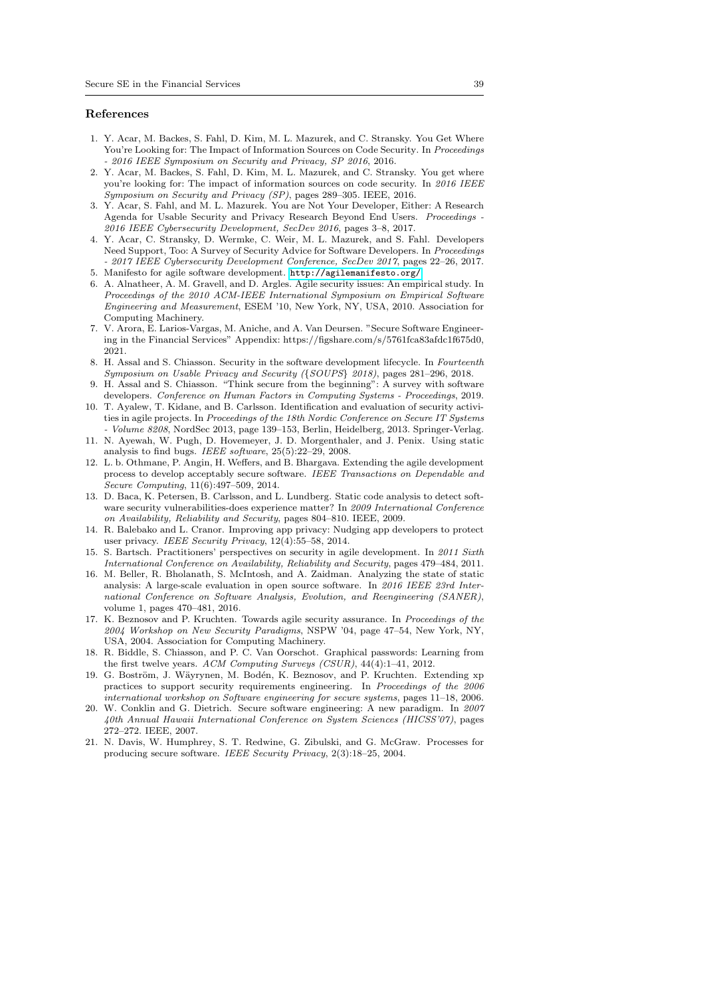#### References

- <span id="page-38-14"></span>1. Y. Acar, M. Backes, S. Fahl, D. Kim, M. L. Mazurek, and C. Stransky. You Get Where You're Looking for: The Impact of Information Sources on Code Security. In Proceedings - 2016 IEEE Symposium on Security and Privacy, SP 2016, 2016.
- <span id="page-38-17"></span>2. Y. Acar, M. Backes, S. Fahl, D. Kim, M. L. Mazurek, and C. Stransky. You get where you're looking for: The impact of information sources on code security. In  $\it 2016$  IEEE Symposium on Security and Privacy (SP), pages 289–305. IEEE, 2016.
- <span id="page-38-1"></span>3. Y. Acar, S. Fahl, and M. L. Mazurek. You are Not Your Developer, Either: A Research Agenda for Usable Security and Privacy Research Beyond End Users. Proceedings - 2016 IEEE Cybersecurity Development, SecDev 2016, pages 3–8, 2017.
- <span id="page-38-15"></span>4. Y. Acar, C. Stransky, D. Wermke, C. Weir, M. L. Mazurek, and S. Fahl. Developers Need Support, Too: A Survey of Security Advice for Software Developers. In Proceedings - 2017 IEEE Cybersecurity Development Conference, SecDev 2017, pages 22–26, 2017. 5. Manifesto for agile software development. <http://agilemanifesto.org/>.
- <span id="page-38-20"></span><span id="page-38-19"></span>6. A. Alnatheer, A. M. Gravell, and D. Argles. Agile security issues: An empirical study. In Proceedings of the 2010 ACM-IEEE International Symposium on Empirical Software Engineering and Measurement, ESEM '10, New York, NY, USA, 2010. Association for Computing Machinery.
- <span id="page-38-18"></span>7. V. Arora, E. Larios-Vargas, M. Aniche, and A. Van Deursen. "Secure Software Engineering in the Financial Services" Appendix: https://figshare.com/s/5761fca83afdc1f675d0, 2021.
- <span id="page-38-9"></span>8. H. Assal and S. Chiasson. Security in the software development lifecycle. In Fourteenth Symposium on Usable Privacy and Security ({SOUPS} 2018), pages 281–296, 2018.
- <span id="page-38-10"></span>9. H. Assal and S. Chiasson. "Think secure from the beginning": A survey with software developers. Conference on Human Factors in Computing Systems - Proceedings, 2019.
- <span id="page-38-4"></span>10. T. Ayalew, T. Kidane, and B. Carlsson. Identification and evaluation of security activities in agile projects. In Proceedings of the 18th Nordic Conference on Secure IT Systems - Volume 8208, NordSec 2013, page 139–153, Berlin, Heidelberg, 2013. Springer-Verlag.
- <span id="page-38-12"></span>11. N. Ayewah, W. Pugh, D. Hovemeyer, J. D. Morgenthaler, and J. Penix. Using static analysis to find bugs. IEEE software, 25(5):22–29, 2008.
- <span id="page-38-8"></span>12. L. b. Othmane, P. Angin, H. Weffers, and B. Bhargava. Extending the agile development process to develop acceptably secure software. IEEE Transactions on Dependable and Secure Computing, 11(6):497–509, 2014.
- <span id="page-38-13"></span>13. D. Baca, K. Petersen, B. Carlsson, and L. Lundberg. Static code analysis to detect software security vulnerabilities-does experience matter? In 2009 International Conference on Availability, Reliability and Security, pages 804–810. IEEE, 2009.
- <span id="page-38-16"></span>14. R. Balebako and L. Cranor. Improving app privacy: Nudging app developers to protect user privacy. IEEE Security Privacy, 12(4):55–58, 2014.
- <span id="page-38-6"></span>15. S. Bartsch. Practitioners' perspectives on security in agile development. In 2011 Sixth International Conference on Availability, Reliability and Security, pages 479–484, 2011.
- <span id="page-38-11"></span>16. M. Beller, R. Bholanath, S. McIntosh, and A. Zaidman. Analyzing the state of static analysis: A large-scale evaluation in open source software. In 2016 IEEE 23rd International Conference on Software Analysis, Evolution, and Reengineering (SANER), volume 1, pages 470–481, 2016.
- <span id="page-38-7"></span>17. K. Beznosov and P. Kruchten. Towards agile security assurance. In Proceedings of the 2004 Workshop on New Security Paradigms, NSPW '04, page 47–54, New York, NY, USA, 2004. Association for Computing Machinery.
- <span id="page-38-2"></span>18. R. Biddle, S. Chiasson, and P. C. Van Oorschot. Graphical passwords: Learning from the first twelve years. ACM Computing Surveys (CSUR), 44(4):1–41, 2012.
- <span id="page-38-3"></span>19. G. Boström, J. Wäyrynen, M. Bodén, K. Beznosov, and P. Kruchten. Extending xp practices to support security requirements engineering. In Proceedings of the 2006 international workshop on Software engineering for secure systems, pages 11–18, 2006.
- <span id="page-38-0"></span>20. W. Conklin and G. Dietrich. Secure software engineering: A new paradigm. In 2007 40th Annual Hawaii International Conference on System Sciences (HICSS'07), pages 272–272. IEEE, 2007.
- <span id="page-38-5"></span>21. N. Davis, W. Humphrey, S. T. Redwine, G. Zibulski, and G. McGraw. Processes for producing secure software. IEEE Security Privacy, 2(3):18–25, 2004.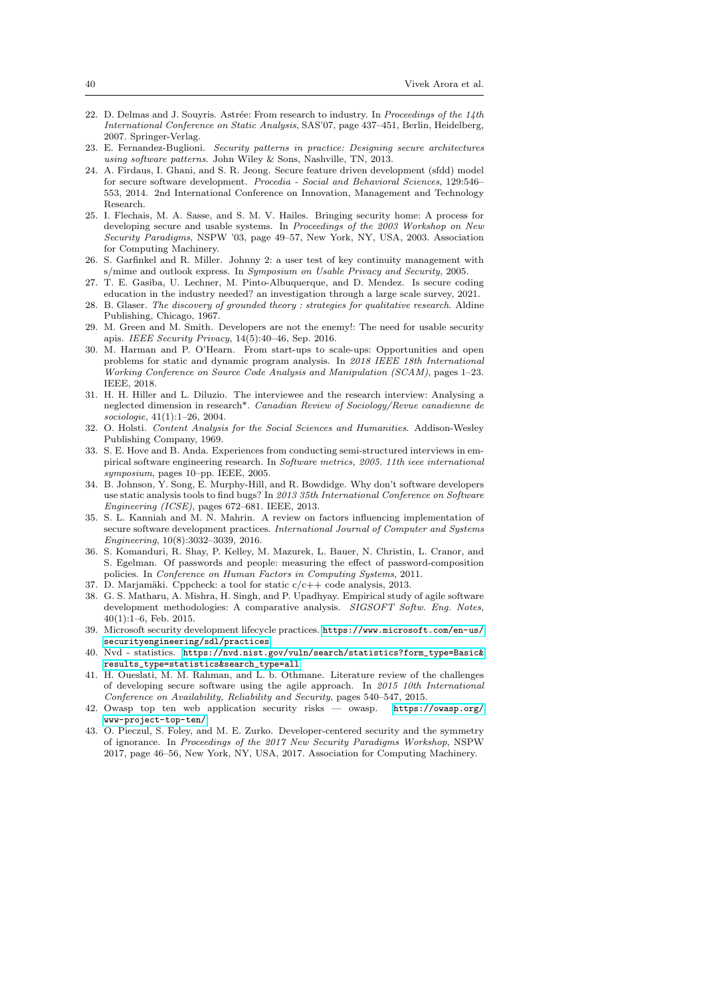- <span id="page-39-9"></span>22. D. Delmas and J. Souyris. Astrée: From research to industry. In Proceedings of the  $14th$ International Conference on Static Analysis, SAS'07, page 437–451, Berlin, Heidelberg, 2007. Springer-Verlag.
- <span id="page-39-18"></span>23. E. Fernandez-Buglioni. Security patterns in practice: Designing secure architectures using software patterns. John Wiley & Sons, Nashville, TN, 2013.
- <span id="page-39-5"></span>24. A. Firdaus, I. Ghani, and S. R. Jeong. Secure feature driven development (sfdd) model for secure software development. Procedia - Social and Behavioral Sciences, 129:546– 553, 2014. 2nd International Conference on Innovation, Management and Technology Research.
- <span id="page-39-8"></span>25. I. Flechais, M. A. Sasse, and S. M. V. Hailes. Bringing security home: A process for developing secure and usable systems. In Proceedings of the 2003 Workshop on New Security Paradigms, NSPW '03, page 49–57, New York, NY, USA, 2003. Association for Computing Machinery.
- <span id="page-39-3"></span>26. S. Garfinkel and R. Miller. Johnny 2: a user test of key continuity management with s/mime and outlook express. In Symposium on Usable Privacy and Security, 2005.
- <span id="page-39-21"></span>27. T. E. Gasiba, U. Lechner, M. Pinto-Albuquerque, and D. Mendez. Is secure coding education in the industry needed? an investigation through a large scale survey, 2021.
- <span id="page-39-16"></span>28. B. Glaser. The discovery of grounded theory : strategies for qualitative research. Aldine Publishing, Chicago, 1967.
- <span id="page-39-2"></span>29. M. Green and M. Smith. Developers are not the enemy!: The need for usable security apis. IEEE Security Privacy, 14(5):40–46, Sep. 2016.
- <span id="page-39-11"></span>30. M. Harman and P. O'Hearn. From start-ups to scale-ups: Opportunities and open problems for static and dynamic program analysis. In 2018 IEEE 18th International Working Conference on Source Code Analysis and Manipulation (SCAM), pages 1–23. IEEE, 2018.
- <span id="page-39-14"></span>31. H. H. Hiller and L. Diluzio. The interviewee and the research interview: Analysing a neglected dimension in research\*. Canadian Review of Sociology/Revue canadienne de sociologie, 41(1):1–26, 2004.
- <span id="page-39-17"></span>32. O. Holsti. Content Analysis for the Social Sciences and Humanities. Addison-Wesley Publishing Company, 1969.
- <span id="page-39-15"></span>33. S. E. Hove and B. Anda. Experiences from conducting semi-structured interviews in empirical software engineering research. In Software metrics, 2005. 11th ieee international symposium, pages 10–pp. IEEE, 2005.
- <span id="page-39-12"></span>34. B. Johnson, Y. Song, E. Murphy-Hill, and R. Bowdidge. Why don't software developers use static analysis tools to find bugs? In 2013 35th International Conference on Software Engineering (ICSE), pages 672–681. IEEE, 2013.
- <span id="page-39-20"></span>35. S. L. Kanniah and M. N. Mahrin. A review on factors influencing implementation of secure software development practices. International Journal of Computer and Systems Engineering, 10(8):3032–3039, 2016.
- <span id="page-39-4"></span>36. S. Komanduri, R. Shay, P. Kelley, M. Mazurek, L. Bauer, N. Christin, L. Cranor, and S. Egelman. Of passwords and people: measuring the effect of password-composition policies. In Conference on Human Factors in Computing Systems, 2011.
- <span id="page-39-10"></span>37. D. Marjamäki. Cppcheck: a tool for static  $c/c++$  code analysis, 2013.
- <span id="page-39-7"></span>38. G. S. Matharu, A. Mishra, H. Singh, and P. Upadhyay. Empirical study of agile software development methodologies: A comparative analysis. SIGSOFT Softw. Eng. Notes,  $40(1):1-6$ , Feb. 2015.
- <span id="page-39-6"></span>39. Microsoft security development lifecycle practices. [https://www.microsoft.com/en-us/](https://www.microsoft.com/en-us/securityengineering/sdl/practices) [securityengineering/sdl/practices](https://www.microsoft.com/en-us/securityengineering/sdl/practices).
- <span id="page-39-0"></span>40. Nvd - statistics. [https://nvd.nist.gov/vuln/search/statistics?form\\_type=Basic&](https://nvd.nist.gov/vuln/search/statistics?form_type=Basic&results_type=statistics&search_type=all) [results\\_type=statistics&search\\_type=all](https://nvd.nist.gov/vuln/search/statistics?form_type=Basic&results_type=statistics&search_type=all).
- <span id="page-39-19"></span>41. H. Oueslati, M. M. Rahman, and L. b. Othmane. Literature review of the challenges of developing secure software using the agile approach. In 2015 10th International Conference on Availability, Reliability and Security, pages 540–547, 2015.
- <span id="page-39-1"></span>42. Owasp top ten web application security risks — owasp. [https://owasp.org/](https://owasp.org/www-project-top-ten/) [www-project-top-ten/](https://owasp.org/www-project-top-ten/).
- <span id="page-39-13"></span>43. O. Pieczul, S. Foley, and M. E. Zurko. Developer-centered security and the symmetry of ignorance. In Proceedings of the 2017 New Security Paradigms Workshop, NSPW 2017, page 46–56, New York, NY, USA, 2017. Association for Computing Machinery.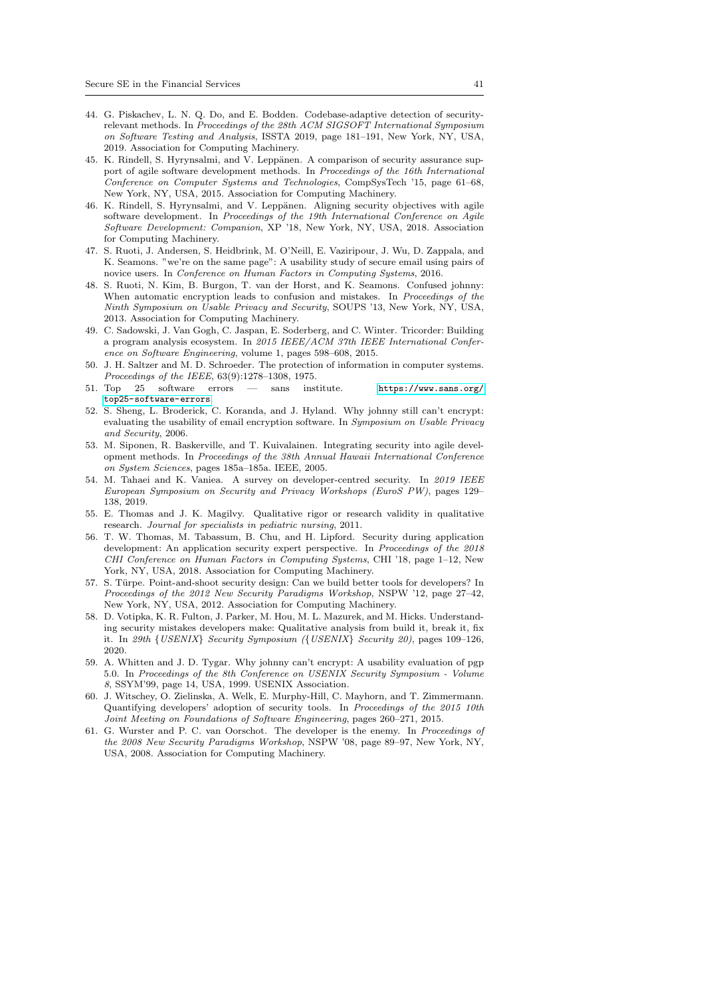- <span id="page-40-9"></span>44. G. Piskachev, L. N. Q. Do, and E. Bodden. Codebase-adaptive detection of securityrelevant methods. In Proceedings of the 28th ACM SIGSOFT International Symposium on Software Testing and Analysis, ISSTA 2019, page 181–191, New York, NY, USA, 2019. Association for Computing Machinery.
- <span id="page-40-7"></span>45. K. Rindell, S. Hyrynsalmi, and V. Leppänen. A comparison of security assurance support of agile software development methods. In Proceedings of the 16th International Conference on Computer Systems and Technologies, CompSysTech '15, page 61–68, New York, NY, USA, 2015. Association for Computing Machinery.
- <span id="page-40-8"></span>46. K. Rindell, S. Hyrynsalmi, and V. Leppänen. Aligning security objectives with agile software development. In Proceedings of the 19th International Conference on Agile Software Development: Companion, XP '18, New York, NY, USA, 2018. Association for Computing Machinery.
- <span id="page-40-4"></span>47. S. Ruoti, J. Andersen, S. Heidbrink, M. O'Neill, E. Vaziripour, J. Wu, D. Zappala, and K. Seamons. "we're on the same page": A usability study of secure email using pairs of novice users. In Conference on Human Factors in Computing Systems, 2016.
- <span id="page-40-5"></span>48. S. Ruoti, N. Kim, B. Burgon, T. van der Horst, and K. Seamons. Confused johnny: When automatic encryption leads to confusion and mistakes. In *Proceedings of the* Ninth Symposium on Usable Privacy and Security, SOUPS '13, New York, NY, USA, 2013. Association for Computing Machinery.
- <span id="page-40-10"></span>49. C. Sadowski, J. Van Gogh, C. Jaspan, E. Soderberg, and C. Winter. Tricorder: Building a program analysis ecosystem. In 2015 IEEE/ACM 37th IEEE International Conference on Software Engineering, volume 1, pages 598–608, 2015.
- <span id="page-40-2"></span>50. J. H. Saltzer and M. D. Schroeder. The protection of information in computer systems. Proceedings of the IEEE, 63(9):1278–1308, 1975.
- <span id="page-40-0"></span>51. Top 25 software errors — sans institute. [https://www.sans.org/](https://www.sans.org/top25-software-errors) [top25-software-errors](https://www.sans.org/top25-software-errors).
- <span id="page-40-6"></span>52. S. Sheng, L. Broderick, C. Koranda, and J. Hyland. Why johnny still can't encrypt: evaluating the usability of email encryption software. In Symposium on Usable Privacy and Security, 2006.
- <span id="page-40-17"></span>53. M. Siponen, R. Baskerville, and T. Kuivalainen. Integrating security into agile development methods. In Proceedings of the 38th Annual Hawaii International Conference on System Sciences, pages 185a–185a. IEEE, 2005.
- <span id="page-40-13"></span>54. M. Tahaei and K. Vaniea. A survey on developer-centred security. In 2019 IEEE European Symposium on Security and Privacy Workshops (EuroS PW), pages 129– 138, 2019.
- <span id="page-40-16"></span>55. E. Thomas and J. K. Magilvy. Qualitative rigor or research validity in qualitative research. Journal for specialists in pediatric nursing, 2011.
- <span id="page-40-14"></span>56. T. W. Thomas, M. Tabassum, B. Chu, and H. Lipford. Security during application development: An application security expert perspective. In Proceedings of the 2018 CHI Conference on Human Factors in Computing Systems, CHI '18, page 1–12, New York, NY, USA, 2018. Association for Computing Machinery.
- <span id="page-40-12"></span>57. S. Türpe. Point-and-shoot security design: Can we build better tools for developers? In Proceedings of the 2012 New Security Paradigms Workshop, NSPW '12, page 27–42, New York, NY, USA, 2012. Association for Computing Machinery.
- <span id="page-40-15"></span>58. D. Votipka, K. R. Fulton, J. Parker, M. Hou, M. L. Mazurek, and M. Hicks. Understanding security mistakes developers make: Qualitative analysis from build it, break it, fix it. In 29th {USENIX} Security Symposium ({USENIX} Security 20), pages 109–126, 2020.
- <span id="page-40-3"></span>59. A. Whitten and J. D. Tygar. Why johnny can't encrypt: A usability evaluation of pgp 5.0. In Proceedings of the 8th Conference on USENIX Security Symposium - Volume 8, SSYM'99, page 14, USA, 1999. USENIX Association.
- <span id="page-40-11"></span>60. J. Witschey, O. Zielinska, A. Welk, E. Murphy-Hill, C. Mayhorn, and T. Zimmermann. Quantifying developers' adoption of security tools. In Proceedings of the 2015 10th Joint Meeting on Foundations of Software Engineering, pages 260–271, 2015.
- <span id="page-40-1"></span>61. G. Wurster and P. C. van Oorschot. The developer is the enemy. In Proceedings of the 2008 New Security Paradigms Workshop, NSPW '08, page 89–97, New York, NY, USA, 2008. Association for Computing Machinery.